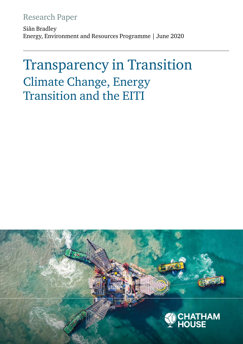### Research Paper

Siân Bradley Energy, Environment and Resources Programme | June 2020

# Transparency in Transition Climate Change, Energy Transition and the EITI

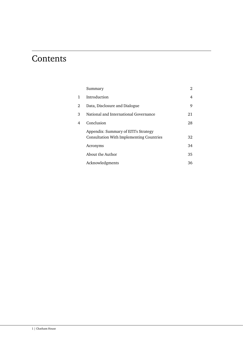### **Contents**

|   | Summary                                                                                 | 2              |
|---|-----------------------------------------------------------------------------------------|----------------|
| 1 | Introduction                                                                            | $\overline{4}$ |
| 2 | Data, Disclosure and Dialogue                                                           | 9              |
| 3 | National and International Governance                                                   | 21             |
| 4 | Conclusion                                                                              | 28             |
|   | Appendix: Summary of EITI's Strategy<br><b>Consultation With Implementing Countries</b> | 32             |
|   | Acronyms                                                                                | 34             |
|   | About the Author                                                                        | 35             |
|   | Acknowledgments                                                                         | 36             |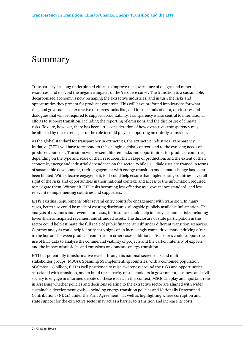### <span id="page-2-0"></span>Summary

Transparency has long underpinned efforts to improve the governance of oil, gas and mineral resources, and to avoid the negative impacts of the 'resource curse'. The transition to a sustainable, decarbonized economy is now reshaping the extractive industries, and in turn the risks and opportunities they present for producer countries. This will have profound implications for what the good governance of extractive resources looks like, and for the kinds of data, disclosures and dialogues that will be required to support accountability. Transparency is also central to international efforts to support transition, including the reporting of emissions and the disclosure of climate risks. To date, however, there has been little consideration of how extractives transparency may be affected by these trends, or of the role it could play in supporting an orderly transition.

As the global standard for transparency in extractives, the Extractive Industries Transparency Initiative (EITI) will have to respond to this changing global context, and to the evolving needs of producer countries. Transition will present different risks and opportunities for producer countries, depending on the type and scale of their resources, their stage of production, and the extent of their economic, energy and industrial dependence on the sector. While EITI dialogues are framed in terms of sustainable development, their engagement with energy transition and climate change has so far been limited. With effective engagement, EITI could help ensure that implementing countries have full sight of the risks and opportunities in their national context, and access to the information required to navigate them. Without it, EITI risks becoming less effective as a governance standard, and less relevant to implementing countries and supporters.

EITI's existing Requirements offer several entry points for engagement with transition. In many cases, better use could be made of existing disclosures, alongside publicly available information. The analysis of revenues and revenue forecasts, for instance, could help identify economic risks including lower-than-anticipated revenues, and stranded assets. The disclosure of state participation in the sector could help estimate the full scale of public finance 'at risk' under different transition scenarios. Contract analysis could help identify early signs of an increasingly competitive market driving a 'race to the bottom' between producer countries. In other cases, additional disclosures could support the use of EITI data to analyse the commercial viability of projects and the carbon intensity of exports, and the impact of subsidies and emissions on domestic energy transition.

EITI has potentially transformative reach, through its national secretariats and multistakeholder groups (MSGs). Spanning 53 implementing countries, with a combined population of almost 1.8 billion, EITI is well positioned to raise awareness around the risks and opportunities associated with transition, and to build the capacity of stakeholders in government, business and civil society to engage in informed debate on these issues. In this context, MSGs can play an important role in assessing whether policies and decisions relating to the extractive sector are aligned with wider sustainable development goals – including energy transition policies and Nationally Determined Contributions (NDCs) under the Paris Agreement – as well as highlighting where corruption and state support for the extractive sector may act as a barrier to transition and increase its costs.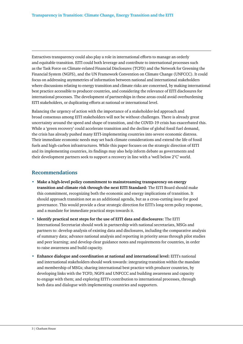Extractives transparency could also play a role in international efforts to manage an orderly and equitable transition. EITI could both leverage and contribute to international processes such as the Task Force on Climate-related Financial Disclosures (TCFD) and the Network for Greening the Financial System (NGFS), and the UN Framework Convention on Climate Change (UNFCCC). It could focus on addressing asymmetries of information between national and international stakeholders where discussions relating to energy transition and climate risks are concerned, by making international best practice accessible to producer countries, and considering the relevance of EITI disclosures for international processes. The development of partnerships in these areas could avoid overburdening EITI stakeholders, or duplicating efforts at national or international level.

Balancing the urgency of action with the importance of a stakeholder-led approach and broad consensus among EITI stakeholders will not be without challenges. There is already great uncertainty around the speed and shape of transition, and the COVID-19 crisis has exacerbated this. While a 'green recovery' could accelerate transition and the decline of global fossil fuel demand, the crisis has already pushed many EITI-implementing countries into severe economic distress. Their immediate economic needs may set back climate considerations and extend the life of fossil fuels and high-carbon infrastructures. While this paper focuses on the strategic direction of EITI and its implementing countries, its findings may also help inform debate as governments and their development partners seek to support a recovery in line with a 'well below 2°C' world.

#### **Recommendations**

- **Make a high-level policy commitment to mainstreaming transparency on energy transition and climate risk through the next EITI Standard:** The EITI Board should make this commitment, recognizing both the economic and energy implications of transition. It should approach transition not as an additional agenda, but as a cross-cutting issue for good governance. This would provide a clear strategic direction for EITI's long-term policy response, and a mandate for immediate practical steps towards it.
- **Identify practical next steps for the use of EITI data and disclosures:** The EITI International Secretariat should work in partnership with national secretariats, MSGs and partners to: develop analysis of existing data and disclosures, including the comparative analysis of summary data; advance national analysis and reporting in priority areas through pilot studies and peer learning; and develop clear guidance notes and requirements for countries, in order to raise awareness and build capacity.
- **Enhance dialogue and coordination at national and international level:** EITI's national and international stakeholders should work towards: integrating transition within the mandate and membership of MSGs; sharing international best practice with producer countries, by developing links with the TCFD, NGFS and UNFCCC and building awareness and capacity to engage with them; and exploring EITI's contribution to international processes, through both data and dialogue with implementing countries and supporters.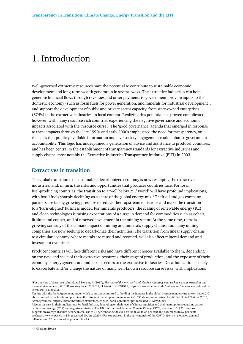### <span id="page-4-0"></span>1. Introduction

Well-governed extractive resources have the potential to contribute to sustainable economic development and long-term wealth generation in several ways. The extractive industries can help generate financial flows through revenues and other payments to government, provide inputs to the domestic economy (such as fossil fuels for power generation, and minerals for industrial development), and support the development of public and private sector capacity, from state-owned enterprises (SOEs) in the extractive industries, to local content. Realizing this potential has proven complicated, however, with many resource-rich countries experiencing the negative governance and economic impacts associated with the 'resource curse'.1 The 'good governance' agenda that emerged in response to these impacts through the late 1990s and early 2000s emphasized the need for transparency, on the basis that publicly available information and civil society engagement could enhance government accountability. This logic has underpinned a generation of advice and assistance to producer countries, and has been central to the establishment of transparency standards for extractive industries and supply chains, most notably the Extractive Industries Transparency Initiative (EITI) in 2003.

#### **Extractives in transition**

The global transition to a sustainable, decarbonized economy is now reshaping the extractive industries, and, in turn, the risks and opportunities that producer countries face. For fossil fuel-producing countries, the transition to a 'well below  $2^{\circ}C'$  world<sup>2</sup> will have profound implications, with fossil fuels sharply declining as a share of the global energy mix.<sup>3</sup> Their oil and gas company partners are facing growing pressure to reduce their upstream emissions and make the transition to a 'Paris-aligned' business model. For minerals producers, the scaling of renewable energy (RE) and clean technologies is raising expectations of a surge in demand for commodities such as cobalt, lithium and copper, and of renewed investment in the mining sector. At the same time, there is growing scrutiny of the climate impact of mining and minerals supply chains, and many mining companies are now seeking to decarbonize their activities. The transition from linear supply chains to a circular economy, where metals are reused and recycled, will also affect mineral demand and investment over time.

Producer countries will face different risks and have different choices available to them, depending on the type and scale of their extractive resources, their stage of production, and the exposure of their economy, energy systems and industrial sectors to the extractive industries. Decarbonization is likely to exacerbate and/or change the nature of many well-known resource curse risks, with implications

<sup>1</sup> For a review of these, see Lahn, G. and Stevens, P. (2017), *The curse of the one-size-fits-all fix: Re-evaluating what we know about extractives and economic developme*nt, WIDER Working Paper 21/2017, Helsinki: UNU-WIDER,<https://www.wider.unu.edu/publication/curse-one-size-fits-all-fix> (accessed 11 May 2020).

 $^2$  In line with the Paris Agreement, under which countries committed to 'holding the increase in the global average temperature to well below 2°C above pre-industrial levels and pursuing efforts to limit the temperature increase to 1.5°C above pre-industrial levels'. See United Nations (2015), *Paris Agreement*, [https://unfccc.int/sites/default/files/english\\_paris\\_agreement.pdf](https://unfccc.int/sites/default/files/english_paris_agreement.pdf) (accessed 21 May 2020).

<sup>&</sup>lt;sup>3</sup> Scenarios vary in their implications for fossil fuel use, depending on their level of climate ambition and their assumptions regarding carbon capture and storage (CCS) and negative emissions. The UN International Panel on Climate Change (IPCC)'s review of 1.5ºC scenarios suggests an average absolute decline in coal use to 18 per cent of 2020 levels by 2050, oil to 34 per cent and natural gas to 57 per cent; see https://www.ipcc.ch/sr15/ (accessed 10 Jun. 2020). (For comparison, in the early months of the COVID-19 crisis, global oil demand fell to around 70 per cent of its previous level.)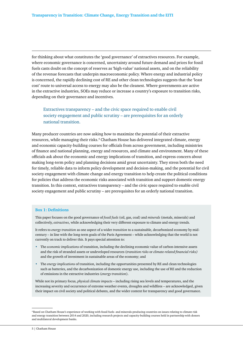for thinking about what constitutes the 'good governance' of extractives resources. For example, where economic governance is concerned, uncertainty around future demand and prices for fossil fuels casts doubt on the concept of reserves as 'high-value' national assets, and on the reliability of the revenue forecasts that underpin macroeconomic policy. Where energy and industrial policy is concerned, the rapidly declining cost of RE and other clean technologies suggests that the 'least cost' route to universal access to energy may also be the cleanest. Where governments are active in the extractive industries, SOEs may reduce or increase a country's exposure to transition risks, depending on their governance and incentives.

Extractives transparency – and the civic space required to enable civil society engagement and public scrutiny – are prerequisites for an orderly national transition.

Many producer countries are now asking how to maximize the potential of their extractive resources, while managing their risks.<sup>4</sup> Chatham House has delivered integrated climate, energy and economic capacity-building courses for officials from across government, including ministries of finance and national planning, energy and resources, and climate and environment. Many of these officials ask about the economic and energy implications of transition, and express concern about making long-term policy and planning decisions amid great uncertainty. They stress both the need for timely, reliable data to inform policy development and decision-making, and the potential for civil society engagement with climate change and energy transition to help create the political conditions for policies that address the economic risks associated with transition and support domestic energy transition. In this context, extractives transparency – and the civic space required to enable civil society engagement and public scrutiny – are prerequisites for an orderly national transition.

#### **Box 1: Definitions**

This paper focuses on the good governance of *fossil fuels* (oil, gas, coal) and *minerals* (metals, minerals) and collectively, *extractives*, while acknowledging their very different exposure to climate and energy trends.

It refers to *energy transition* as one aspect of a wider *transition* to a sustainable, decarbonized economy by midcentury – in line with the long-term goals of the Paris Agreement – while acknowledging that the world is not currently on track to deliver this. It pays special attention to:

- The *economic implications* of transition, including the declining economic value of carbon-intensive assets and the risk of stranded assets or undeveloped resources (*transition risks* or *climate-related financial risks)* and the growth of investment in sustainable areas of the economy; and
- The *energy implications* of transition, including the opportunities presented by RE and clean technologies such as batteries, and the decarbonization of domestic energy use, including the use of RE and the reduction of emissions in the extractive industries (*energy transition*).

While not its primary focus, *physical climate impacts –* including rising sea levels and temperatures, and the increasing severity and occurrence of extreme weather events, droughts and wildfires – are acknowledged, given their impact on civil society and political debates, and the wider context for transparency and good governance.

<sup>4</sup> Based on Chatham House's experience of working with fossil fuels- and minerals-producing countries on issues relating to climate risk and energy transition between 2014 and 2020, including research projects and capacity-building courses held in partnership with donors and multilateral development banks.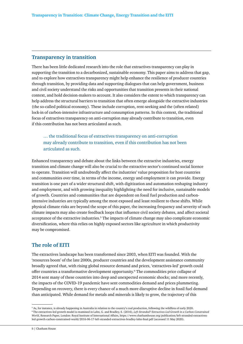#### **Transparency in transition**

There has been little dedicated research into the role that extractives transparency can play in supporting the transition to a decarbonized, sustainable economy. This paper aims to address that gap, and to explore how extractives transparency might help enhance the resilience of producer countries through transition, by providing data and supporting dialogues that can help government, business and civil society understand the risks and opportunities that transition presents in their national context, and hold decision-makers to account. It also considers the extent to which transparency can help address the structural barriers to transition that often emerge alongside the extractive industries (the so-called political economy). These include corruption, rent-seeking and the (often related) lock-in of carbon-intensive infrastructure and consumption patterns. In this context, the traditional focus of extractives transparency on anti-corruption may already contribute to transition, even if this contribution has not been articulated as such.

… the traditional focus of extractives transparency on anti-corruption may already contribute to transition, even if this contribution has not been articulated as such.

Enhanced transparency and debate about the links between the extractive industries, energy transition and climate change will also be crucial to the extractive sector's continued social licence to operate. Transition will undoubtedly affect the industries' value proposition for host countries and communities over time, in terms of the income, energy and employment it can provide. Energy transition is one part of a wider structural shift, with digitization and automation reshaping industry and employment, and with growing inequality highlighting the need for inclusive, sustainable models of growth. Countries and communities that are dependent on fossil fuel production and carbonintensive industries are typically among the most exposed and least resilient to these shifts. While physical climate risks are beyond the scope of this paper, the increasing frequency and severity of such climate impacts may also create feedback loops that influence civil society debates, and affect societal acceptance of the extractive industries.<sup>5</sup> The impacts of climate change may also complicate economic diversification, where this relies on highly exposed sectors like agriculture in which productivity may be compromised.

#### **The role of EITI**

The extractives landscape has been transformed since 2003, when EITI was founded. With the 'resources boom' of the late 2000s, producer countries and the development assistance community broadly agreed that, with rising global resource demand and prices, 'extractives-led' growth could offer countries a transformative development opportunity.6 The commodities price collapse of 2014 sent many of these countries into deep and unexpected economic shocks; and more recently, the impacts of the COVID-19 pandemic have sent commodities demand and prices plummeting. Depending on recovery, there is every chance of a much more disruptive decline in fossil fuel demand than anticipated. While demand for metals and minerals is likely to grow, the trajectory of this

<sup>&</sup>lt;sup>5</sup> As, for instance, is already happening in Australia in relation to the country's coal production, following the wildfires of early 2020. 6 The extractives-led growth model is examined in Lahn, G. and Bradley, S. (2016), *Left Stranded? Extractives-Led Growth in a Carbon-Constrained World*, Research Paper, London: Royal Institute of International Affairs, [https://www.chathamhouse.org/publication/left-stranded-extractives](https://www.chathamhouse.org/publication/left-stranded-extractives-led-growth-carbon-constrained-world/2016-06-17-left-stranded-extractives-bradley-lahn-final.pdf)[led-growth-carbon-constrained-world/2016-06-17-left-stranded-extractives-bradley-lahn-final.pdf](https://www.chathamhouse.org/publication/left-stranded-extractives-led-growth-carbon-constrained-world/2016-06-17-left-stranded-extractives-bradley-lahn-final.pdf) (accessed 11 May 2020).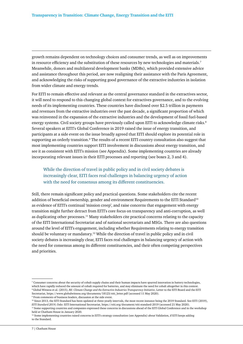growth remains dependent on technology choices and consumer trends, as well as on improvements in resource efficiency and the substitution of these resources by new technologies and materials.<sup>7</sup> Meanwhile, donors and multilateral development banks (MDBs), which provided extensive advice and assistance throughout this period, are now realigning their assistance with the Paris Agreement, and acknowledging the risks of supporting good governance of the extractive industries in isolation from wider climate and energy trends.

For EITI to remain effective and relevant as the central governance standard in the extractives sector, it will need to respond to this changing global context for extractives governance, and to the evolving needs of its implementing countries. These countries have disclosed over \$2.5 trillion in payments and revenues from the extractive industries over the past decade, a significant proportion of which was reinvested in the expansion of the extractive industries and the development of fossil fuel-based energy systems. Civil society groups have previously called upon EITI to acknowledge climate risks.<sup>8</sup> Several speakers at EITI's Global Conference in 2019 raised the issue of energy transition, and participants at a side event on the issue broadly agreed that EITI should explore its potential role in supporting an orderly transition. $^9$  The results of a recent EITI country consultation also suggest that most implementing countries support EITI involvement in discussions about energy transition, and see it as consistent with EITI's mission (see Appendix). Some implementing countries are already incorporating relevant issues in their EITI processes and reporting (see boxes 2, 3 and 4).

#### While the direction of travel in public policy and in civil society debates is increasingly clear, EITI faces real challenges in balancing urgency of action with the need for consensus among its different constituencies.

Still, there remain significant policy and practical questions. Some stakeholders cite the recent addition of beneficial ownership, gender and environment Requirements to the EITI Standard<sup>10</sup> as evidence of EITI's continual 'mission creep', and raise concerns that engagement with energy transition might further detract from EITI's core focus on transparency and anti-corruption, as well as duplicating other processes.11 Many stakeholders cite practical concerns relating to the capacity of the EITI International Secretariat and of national secretariats and MSGs. There are also questions around the level of EITI's engagement, including whether Requirements relating to energy transition should be voluntary or mandatory.12 While the direction of travel in public policy and in civil society debates is increasingly clear, EITI faces real challenges in balancing urgency of action with the need for consensus among its different constituencies, and their often competing perspectives and priorities.

<sup>7</sup> Consumer concerns about the security of cobalt supply chains and their human impacts have spurred innovation in battery technologies, which have rapidly reduced the amount of cobalt required for batteries, and may eliminate the need for cobalt altogether in this context. <sup>8</sup> Global Witness et al. (2015), *RE: Climate Change and the Extractive Industries Transparency Initiative*, Letter to the EITI Board and the EITI Secretariat, [https://www.globalwitness.org/documents/18123/eiti\\_letter.pdf](https://www.globalwitness.org/documents/18123/eiti_letter.pdf) (accessed 11 May 2020).

<sup>9</sup> From comments of business leaders, discussion at the side event.

<sup>&</sup>lt;sup>10</sup> Since 2013, the EITI Standard has been updated at three-yearly intervals, the most recent instance being the 2019 Standard. See EITI (2019), *EITI Standard 2019*, Oslo: EITI International Secretariat,<https://eiti.org/document/eiti-standard-2019>(accessed 21 May 2020). <sup>11</sup> Some supporting countries and companies expressed these concerns in discussions ahead of the EITI Global Conference and in the workshop

held at Chatham House in January 2020.

<sup>&</sup>lt;sup>12</sup> Some implementing countries raised concerns in EITI's strategy consultation (see Appendix) about Validation, if EITI keeps adding to the Standard.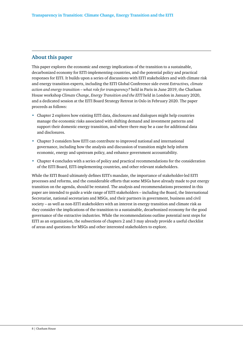#### **About this paper**

This paper explores the economic and energy implications of the transition to a sustainable, decarbonized economy for EITI-implementing countries, and the potential policy and practical responses for EITI. It builds upon a series of discussions with EITI stakeholders and with climate risk and energy transition experts, including the EITI Global Conference side event *Extractives, climate action and energy transition – what role for transparency?* held in Paris in June 2019, the Chatham House workshop *Climate Change, Energy Transition and the EITI* held in London in January 2020, and a dedicated session at the EITI Board Strategy Retreat in Oslo in February 2020. The paper proceeds as follows:

- Chapter 2 explores how existing EITI data, disclosures and dialogues might help countries manage the economic risks associated with shifting demand and investment patterns and support their domestic energy transition, and where there may be a case for additional data and disclosures.
- Chapter 3 considers how EITI can contribute to improved national and international governance, including how the analysis and discussion of transition might help inform economic, energy and upstream policy, and enhance government accountability.
- Chapter 4 concludes with a series of policy and practical recommendations for the consideration of the EITI Board, EITI-implementing countries, and other relevant stakeholders.

While the EITI Board ultimately defines EITI's mandate, the importance of stakeholder-led EITI processes and reforms, and the considerable efforts that some MSGs have already made to put energy transition on the agenda, should be restated. The analysis and recommendations presented in this paper are intended to guide a wide range of EITI stakeholders – including the Board, the International Secretariat, national secretariats and MSGs, and their partners in government, business and civil society – as well as non-EITI stakeholders with an interest in energy transition and climate risk as they consider the implications of the transition to a sustainable, decarbonized economy for the good governance of the extractive industries. While the recommendations outline potential next steps for EITI as an organization, the subsections of chapters 2 and 3 may already provide a useful checklist of areas and questions for MSGs and other interested stakeholders to explore.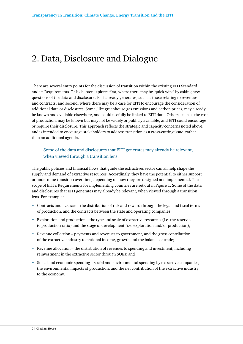# <span id="page-9-0"></span>2. Data, Disclosure and Dialogue

There are several entry points for the discussion of transition within the existing EITI Standard and its Requirements. This chapter explores first, where there may be 'quick wins' by asking new questions of the data and disclosures EITI already generates, such as those relating to revenues and contracts; and second, where there may be a case for EITI to encourage the consideration of additional data or disclosures. Some, like greenhouse gas emissions and carbon prices, may already be known and available elsewhere, and could usefully be linked to EITI data. Others, such as the cost of production, may be known but may not be widely or publicly available, and EITI could encourage or require their disclosure. This approach reflects the strategic and capacity concerns noted above, and is intended to encourage stakeholders to address transition as a cross-cutting issue, rather than an additional agenda.

#### Some of the data and disclosures that EITI generates may already be relevant, when viewed through a transition lens.

The public policies and financial flows that guide the extractives sector can all help shape the supply and demand of extractive resources. Accordingly, they have the potential to either support or undermine transition over time, depending on how they are designed and implemented. The scope of EITI's Requirements for implementing countries are set out in Figure 1. Some of the data and disclosures that EITI generates may already be relevant, when viewed through a transition lens. For example:

- Contracts and licences the distribution of risk and reward through the legal and fiscal terms of production, and the contracts between the state and operating companies;
- Exploration and production the type and scale of extractive resources (i.e. the reserves to production ratio) and the stage of development (i.e. exploration and/or production);
- Revenue collection payments and revenues to government, and the gross contribution of the extractive industry to national income, growth and the balance of trade;
- Revenue allocation the distribution of revenues to spending and investment, including reinvestment in the extractive sector through SOEs; and
- Social and economic spending social and environmental spending by extractive companies, the environmental impacts of production, and the net contribution of the extractive industry to the economy.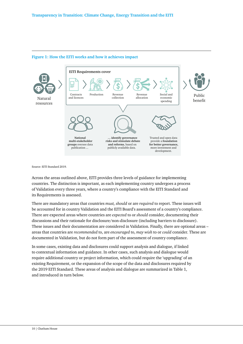

#### **Figure 1: How the EITI works and how it achieves impact**

Source: EITI Standard 2019.

Across the areas outlined above, EITI provides three levels of guidance for implementing countries. The distinction is important, as each implementing country undergoes a process of Validation every three years, where a country's compliance with the EITI Standard and its Requirements is assessed.

There are mandatory areas that countries *must, should* or are *required* to report. These issues will be accounted for in country Validation and the EITI Board's assessment of a country's compliance. There are expected areas where countries are *expected* to or *should* consider, documenting their discussions and their rationale for disclosure/non-disclosure (including barriers to disclosure). These issues and their documentation are considered in Validation. Finally, there are optional areas – areas that countries are *recommended* to, are *encouraged* to, *may wish* to or *could* consider. These are documented in Validation, but do not form part of the assessment of country compliance.

In some cases, existing data and disclosures could support analysis and dialogue, if linked to contextual information and guidance. In other cases, such analysis and dialogue would require additional country or project information, which could require the 'upgrading' of an existing Requirement, or the expansion of the scope of the data and disclosures required by the 2019 EITI Standard. These areas of analysis and dialogue are summarized in Table 1, and introduced in turn below.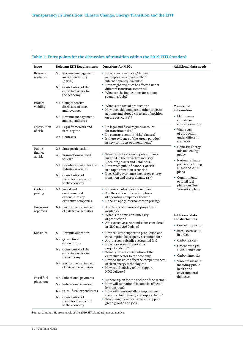| Issue                                | <b>Relevant EITI Requirements</b>                                                                                                                                                       | <b>Questions for MSGs</b>                                                                                                                                                                                                                                                                                                                                                                                      | <b>Additional data needs</b>                                                                                                                                                                                                                                                                                                                                                                                                                                                                                                                                                                                                 |
|--------------------------------------|-----------------------------------------------------------------------------------------------------------------------------------------------------------------------------------------|----------------------------------------------------------------------------------------------------------------------------------------------------------------------------------------------------------------------------------------------------------------------------------------------------------------------------------------------------------------------------------------------------------------|------------------------------------------------------------------------------------------------------------------------------------------------------------------------------------------------------------------------------------------------------------------------------------------------------------------------------------------------------------------------------------------------------------------------------------------------------------------------------------------------------------------------------------------------------------------------------------------------------------------------------|
| Revenue<br>resilience                | 5.3 Revenue management<br>and expenditures<br>(part C)<br>6.3 Contribution of the<br>extractive sector to<br>the economy                                                                | • How do national price/demand<br>assumptions compare to their<br>international equivalents?<br>• How might revenues be affected under<br>different transition scenarios?<br>• What are the implications for national<br>spending/debt?                                                                                                                                                                        | Contextual<br>information<br>• Mainstream<br>climate and<br>energy scenarios<br>• Viable cost<br>of production<br>under different<br>scenarios<br>• Domestic energy<br>mix and energy<br>policy<br>• National climate<br>policies including<br>NDCs and 2050<br>plans<br>• Commitments<br>to fossil fuel<br>phase-out/Just<br>Transition plans<br><b>Additional data</b><br>and disclosures<br>• Cost of production<br>• Break-even/shut-<br>in prices<br>• Carbon prices<br>• Greenhouse gas<br>(GHG) emissions<br>• Carbon intensity<br>• 'Unseen' subsidies<br>including public<br>health and<br>environmental<br>damages |
| Project<br>viability<br>Distribution | 4.1 Comprehensive<br>disclosure of taxes<br>and revenues<br>5.3 Revenue management<br>and expenditures<br>2.1 Legal framework and                                                       | • What is the cost of production?<br>• How does this compare to other projects<br>at home and abroad (in terms of position<br>on the cost curve)?<br>• Do legal and fiscal regimes account                                                                                                                                                                                                                     |                                                                                                                                                                                                                                                                                                                                                                                                                                                                                                                                                                                                                              |
| of risk                              | fiscal regime<br>2.4 Contracts                                                                                                                                                          | for transition risks?<br>• Do contracts contain 'risky' clauses?<br>• Is there evidence of the 'green paradox'<br>in new contracts or amendments?                                                                                                                                                                                                                                                              |                                                                                                                                                                                                                                                                                                                                                                                                                                                                                                                                                                                                                              |
| Public<br>finance<br>at risk         | 2.6 State participation<br>4.5 Transactions related<br>to SOEs<br>5.1 Distribution of extractive<br>industry revenues<br>6.3 Contribution of<br>the extractive sector<br>to the economy | • What is the total sum of public finance<br>invested in the extractive industry<br>(including assets and liabilities)?<br>• How much public finance is 'at risk'<br>in a rapid transition scenario?<br>• Does SOE governance encourage energy<br>transition and assess climate risk?                                                                                                                          |                                                                                                                                                                                                                                                                                                                                                                                                                                                                                                                                                                                                                              |
| Carbon<br>pricing                    | 6.1 Social and<br>environmental<br>expenditures by<br>extractive companies                                                                                                              | • Is there a carbon pricing regime?<br>• Are the carbon price assumptions<br>of operating companies known?<br>• Do SOEs apply internal carbon pricing?                                                                                                                                                                                                                                                         |                                                                                                                                                                                                                                                                                                                                                                                                                                                                                                                                                                                                                              |
| Emissions<br>reporting               | 6.4 Environmental impact<br>of extractive activities                                                                                                                                    | • Are data on emissions at project level<br>available?<br>• What is the emissions intensity<br>of production?<br>• Are extractive sector emissions considered<br>in NDC and 2050 plans?                                                                                                                                                                                                                        |                                                                                                                                                                                                                                                                                                                                                                                                                                                                                                                                                                                                                              |
| Subsidies                            | Revenue allocation<br>5.<br>6.2 Quasi-fiscal<br>expenditures<br>6.3 Contribution of the<br>extractive sector to<br>the economy<br>6.4 Environmental impact<br>of extractive activities  | • How can state support to production and<br>consumption be properly accounted for?<br>• Are 'unseen' subsidies accounted for?<br>• How does state support affect<br>project viability?<br>• What is the net contribution of the<br>extractive sector to the economy?<br>• How do subsidies affect the competitiveness<br>of clean energy technologies?<br>• How could subsidy reform support<br>NDC delivery? |                                                                                                                                                                                                                                                                                                                                                                                                                                                                                                                                                                                                                              |
| Fossil fuel<br>phase-out             | 4.6 Subnational payments<br>5.2 Subnational transfers<br>6.2 Quasi-fiscal expenditures<br>6.3 Contribution of<br>the extractive sector<br>to the economy                                | • Is there a plan for the decline of the sector?<br>• How will subnational income be affected<br>by transition?<br>• How will transition affect employment in<br>the extractive industry and supply chains?<br>• Where might energy transition support<br>green growth and jobs?                                                                                                                               |                                                                                                                                                                                                                                                                                                                                                                                                                                                                                                                                                                                                                              |

#### **Table 1: Entry points for the discussion of transition within the 2019 EITI Standard**

Source: Chatham House analysis of the 2019 EITI Standard, not exhaustive.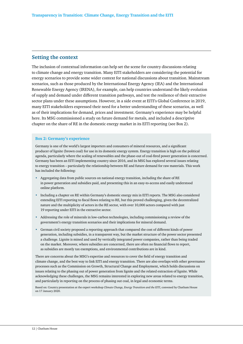#### **Setting the context**

The inclusion of contextual information can help set the scene for country discussions relating to climate change and energy transition. Many EITI stakeholders are considering the potential for energy scenarios to provide some wider context for national discussions about transition. Mainstream scenarios, such as those produced by the International Energy Agency (IEA) and the International Renewable Energy Agency (IRENA), for example, can help countries understand the likely evolution of supply and demand under different transition pathways, and test the resilience of their extractive sector plans under these assumptions. However, in a side event at EITI's Global Conference in 2019, many EITI stakeholders expressed their need for a better understanding of these scenarios, as well as of their implications for demand, prices and investment. Germany's experience may be helpful here. Its MSG commissioned a study on future demand for metals, and included a descriptive chapter on the share of RE in the domestic energy market in its EITI reporting (see Box 2).

#### **Box 2: Germany's experience**

Germany is one of the world's largest importers and consumers of mineral resources, and a significant producer of lignite (brown coal) for use in its domestic energy system. Energy transition is high on the political agenda, particularly where the scaling of renewables and the phase-out of coal-fired power generation is concerned. Germany has been an EITI implementing country since 2016, and its MSG has explored several issues relating to energy transition – particularly the relationship between RE and future demand for raw materials. This work has included the following:

- Aggregating data from public sources on national energy transition, including the share of RE in power generation and subsidies paid, and presenting this in an easy-to-access and easily understood online platform.
- Including a chapter on RE within Germany's domestic energy mix in EITI reports. The MSG also considered extending EITI reporting to fiscal flows relating to RE, but this proved challenging, given the decentralized nature and the multiplicity of actors in the RE sector, with over 10,000 actors compared with just 19 reporting under EITI in the extractive sector.
- Addressing the role of minerals in low-carbon technologies, including commissioning a review of the government's energy transition scenarios and their implications for mineral demand.
- German civil society proposed a reporting approach that compared the cost of different kinds of power generation, including subsidies, in a transparent way, but the market structure of the power sector presented a challenge. Lignite is mined and used by vertically integrated power companies, rather than being traded on the market. Moreover, where subsidies are concerned, there are often no financial flows to report, as subsidies are mostly tax exemptions, and environmental contributions are in kind.

There are concerns about the MSG's expertise and resources to cover the field of energy transition and climate change, and the best way to link EITI and energy transition. There are also overlaps with other governance processes such as the Commission on Growth, Structural Change and Employment, which holds discussions on issues relating to the phasing out of power generation from lignite and the related extraction of lignite. While acknowledging these challenges, the MSG remains interested in exploring new areas related to energy transition, and particularly in reporting on the process of phasing out coal, in legal and economic terms.

Based on: Country presentation at the expert workshop *Climate Change, Energy Transition and the EITI*, convened by Chatham House on 17 January 2020.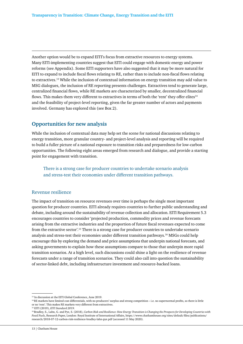Another option would be to expand EITI's focus from extractive resources to energy systems. Many EITI-implementing countries suggest that EITI could engage with domestic energy and power reforms (see Appendix). Some EITI supporters have also suggested that it may be more natural for EITI to expand to include fiscal flows relating to RE, rather than to include non-fiscal flows relating to extractives.13 While the inclusion of contextual information on energy transition may add value to MSG dialogues, the inclusion of RE reporting presents challenges. Extractives tend to generate large, centralized financial flows, while RE markets are characterized by smaller, decentralized financial flows. This makes them very different to extractives in terms of both the 'rent' they offer elites $14$ and the feasibility of project-level reporting, given the far greater number of actors and payments involved. Germany has explored this (see Box 2).

#### **Opportunities for new analysis**

While the inclusion of contextual data may help set the scene for national discussions relating to energy transition, more granular country- and project-level analysis and reporting will be required to build a fuller picture of a national exposure to transition risks and preparedness for low-carbon opportunities. The following eight areas emerged from research and dialogue, and provide a starting point for engagement with transition.

There is a strong case for producer countries to undertake scenario analysis and stress-test their economies under different transition pathways.

#### Revenue resilience

The impact of transition on resource revenues over time is perhaps the single most important question for producer countries. EITI already requires countries to further public understanding and debate, including around the sustainability of revenue collection and allocation. EITI Requirement 5.3 encourages countries to consider 'projected production, commodity prices and revenue forecasts arising from the extractive industries and the proportion of future fiscal revenues expected to come from the extractive sector'.<sup>15</sup> There is a strong case for producer countries to undertake scenario analysis and stress-test their economies under different transition pathways.16 MSGs could help encourage this by exploring the demand and price assumptions that underpin national forecasts, and asking governments to explain how these assumptions compare to those that underpin more rapid transition scenarios. At a high level, such discussions could shine a light on the resilience of revenue forecasts under a range of transition scenarios. They could also call into question the sustainability of sector-linked debt, including infrastructure investment and resource-backed loans.

<sup>&</sup>lt;sup>13</sup> In discussion at the EITI Global Conference, June 2019.

<sup>&</sup>lt;sup>14</sup> RE markets have limited cost differentials, with no producers' surplus and strong competition – i.e. no supernormal profits, so there is little or no 'rent'. This makes RE markets very different from extractives.

<sup>15</sup> EITI (2019), *EITI Standard 2019*.

<sup>16</sup> Bradley, S., Lahn, G. and Pye, S. (2018), *Carbon Risk and Resilience: How Energy Transition is Changing the Prospects for Developing Countries with Fossil Fuels*, Research Paper, London: Royal Institute of International Affairs, [https://www.chathamhouse.org/sites/default/files/publications/](https://www.chathamhouse.org/sites/default/files/publications/research/2018-07-12-carbon-risk-resilience-bradley-lahn-pye.pdf) [research/2018-07-12-carbon-risk-resilience-bradley-lahn-pye.pdf](https://www.chathamhouse.org/sites/default/files/publications/research/2018-07-12-carbon-risk-resilience-bradley-lahn-pye.pdf) (accessed 11 May 2020).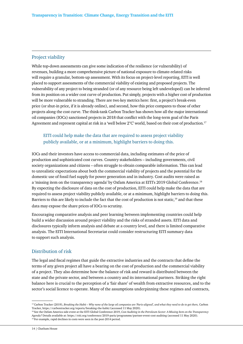#### Project viability

While top-down assessments can give some indication of the resilience (or vulnerability) of revenues, building a more comprehensive picture of national exposure to climate-related risks will require a granular, bottom-up assessment. With its focus on project-level reporting, EITI is well placed to support assessments of the commercial viability of existing and proposed projects. The vulnerability of any project to being stranded (or of any resource being left undeveloped) can be inferred from its position on a wider cost curve of production. Put simply, projects with a higher cost of production will be more vulnerable to stranding. There are two key metrics here: first, a project's break-even price (or shut-in price, if it is already online), and second, how this price compares to those of other projects along the cost curve. The think-tank Carbon Tracker has shown how all the major international oil companies (IOCs) sanctioned projects in 2018 that conflict with the long-term goal of the Paris Agreement and represent capital at risk in a 'well below 2°C' world, based on their cost of production.<sup>17</sup>

#### EITI could help make the data that are required to assess project viability publicly available, or at a minimum, highlight barriers to doing this.

IOCs and their investors have access to commercial data, including estimates of the price of production and sophisticated cost curves. Country stakeholders – including governments, civil society organizations and citizens – often struggle to obtain comparable information. This can lead to unrealistic expectations about both the commercial viability of projects and the potential for the domestic use of fossil fuel supply for power generation and in industry. Cost audits were raised as a 'missing item on the transparency agenda' by Oxfam America at EITI's 2019 Global Conference.<sup>18</sup> By expecting the disclosure of data on the cost of production, EITI could help make the data that are required to assess project viability publicly available, or at a minimum, highlight barriers to doing this. Barriers to this are likely to include the fact that the cost of production is not static,<sup>19</sup> and that these data may expose the share prices of IOCs to scrutiny.

Encouraging comparative analysis and peer learning between implementing countries could help build a wider discussion around project viability and the risks of stranded assets. EITI data and disclosures typically inform analysis and debate at a country level, and there is limited comparative analysis. The EITI International Secretariat could consider restructuring EITI summary data to support such analysis.

#### Distribution of risk

The legal and fiscal regimes that guide the extractive industries and the contracts that define the terms of any given project all have a bearing on the cost of production and the commercial viability of a project. They also determine how the balance of risk and reward is distributed between the state and the private sector, and between a country and its international partners. Striking the right balance here is crucial to the perception of a 'fair share' of wealth from extractive resources, and to the sector's social licence to operate. Many of the assumptions underpinning these regimes and contracts,

<sup>17</sup> Carbon Tracker (2019), *Breaking the Habit – Why none of the large oil companies are 'Paris-aligned', and what they need to do to get there,* Carbon Tracker, <https://carbontracker.org/reports/breaking-the-habit/>(accessed 11 May 2020).

<sup>18</sup> See the Oxfam America side event at the EITI Global Conference 2019, *Cost Auditing in the Petroleum Sector: A Missing Item on the Transparency Agenda?* Details available at:<https://eiti.org/conference/2019-paris/programme/partner-event-cost-auditing>(accessed 11 May 2020). <sup>19</sup> For example, rapid declines in costs were seen in the post-2014 period.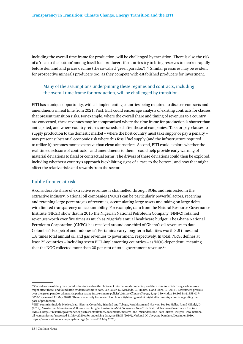including the overall time frame for production, will be challenged by transition. There is also the risk of a 'race to the bottom' among fossil fuel producers if countries try to bring reserves to market rapidly before demand and prices decline (the so-called 'green paradox').20 Similar pressures may be evident for prospective minerals producers too, as they compete with established producers for investment.

#### Many of the assumptions underpinning these regimes and contracts, including the overall time frame for production, will be challenged by transition.

EITI has a unique opportunity, with all implementing countries being required to disclose contracts and amendments in real time from 2021. First, EITI could encourage analysis of existing contracts for clauses that present transition risks. For example, where the overall share and timing of revenues to a country are concerned, these revenues may be compromised where the time frame for production is shorter than anticipated, and where country returns are scheduled after those of companies. 'Take-or-pay' clauses to supply production to the domestic market – where the host country must take supply or pay a penalty – may present substantial economic risk where this fossil fuel supply (and the infrastructure required to utilize it) becomes more expensive than clean alternatives. Second, EITI could explore whether the real-time disclosure of contracts – and amendments to them – could help provide early warning of material deviations to fiscal or contractual terms. The drivers of these deviations could then be explored, including whether a country's approach is exhibiting signs of a 'race to the bottom', and how that might affect the relative risks and rewards from the sector.

#### Public finance at risk

A considerable share of extractive revenues is channelled through SOEs and reinvested in the extractive industry. National oil companies (NOCs) can be particularly powerful actors, receiving and retaining large percentages of revenues, accumulating large assets and taking on large debts, with limited transparency or accountability. For example, data from the Natural Resource Governance Institute (NRGI) show that in 2015 the Nigerian National Petroleum Company (NNPC) retained revenues worth over five times as much as Nigeria's annual healthcare budget. The Ghana National Petroleum Corporation (GNPC) has received around one-third of Ghana's oil revenues to date. Colombia's Ecopetrol and Indonesia's Pertamina carry long-term liabilities worth 3.8 times and 1.8 times total annual oil and gas revenues to government, respectively. In total, NRGI defines at least 25 countries – including seven EITI-implementing countries – as 'NOC-dependent', meaning that the NOC collected more than 20 per cent of total government revenue. $^{21}$ 

<sup>&</sup>lt;sup>20</sup> Consideration of the green paradox has focused on the choices of international companies, and the extent to which rising carbon taxes might affect these, and found little evidence of this to date. See Bauer, N., McGlade, C., Hilaire, J. and Ekins, P. (2018), 'Divestment prevails over the green paradox when anticipating strong future climate policies', *Nature Climate Change*, 8, pp. 130–4, doi: 10.1038/s41558-017- 0053-1 (accessed 11 May 2020). There is relatively less research on how a tightening market might affect country choices regarding the pace of production.

<sup>&</sup>lt;sup>21</sup> EITI countries include Mexico, Iraq, Nigeria, Colombia, Trinidad and Tobago, Kazakhstan and Norway. See See Heller, P. and Mihalyi, D. (2019), *Massive and Misunderstood: Data-driven Insights into National Oil Companies*, New York: Natural Resource Governance Institute (NRGI), [https://resourcegovernance.org/sites/default/files/documents/massive\\_and\\_misunderstood\\_data\\_driven\\_insights\\_into\\_national\\_](https://resourcegovernance.org/sites/default/files/documents/massive_and_misunderstood_data_driven_insights_into_national_oil_companies.pdf) [oil\\_companies.pdf](https://resourcegovernance.org/sites/default/files/documents/massive_and_misunderstood_data_driven_insights_into_national_oil_companies.pdf) (accessed 11 May 2020); for underlying data, see NRGI (2019), *National Oil Company Database*, December 2019, <https://www.nationaloilcompanydata.org/>(accessed 11 May 2020).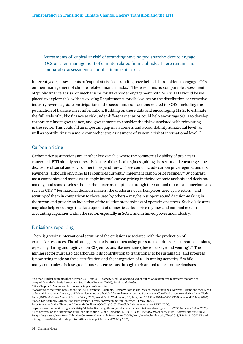Assessments of 'capital at risk' of stranding have helped shareholders to engage IOCs on their management of climate-related financial risks. There remains no comparable assessment of 'public finance at risk' …

In recent years, assessments of 'capital at risk' of stranding have helped shareholders to engage IOCs on their management of climate-related financial risks.<sup>22</sup> There remains no comparable assessment of 'public finance at risk' or mechanisms for stakeholder engagement with NOCs. EITI would be well placed to explore this, with its existing Requirements for disclosures on the distribution of extractive industry revenues, state participation in the sector and transactions related to SOEs, including the publication of balance sheet information. Building on these data and encouraging MSGs to estimate the full scale of public finance at risk under different scenarios could help encourage SOEs to develop corporate climate governance, and governments to consider the risks associated with reinvesting in the sector. This could fill an important gap in awareness and accountability at national level, as well as contributing to a more comprehensive assessment of systemic risk at international level.<sup>23</sup>

#### Carbon pricing

Carbon price assumptions are another key variable where the commercial viability of projects is concerned. EITI already requires disclosure of the fiscal regimes guiding the sector and encourages the disclosure of social and environmental expenditures. These could include carbon price regimes and tax payments, although only nine EITI countries currently implement carbon price regimes.<sup>24</sup> By contrast, most companies and many MDBs apply internal carbon pricing in their economic analysis and decisionmaking, and some disclose their carbon price assumptions through their annual reports and mechanisms such as CDP.<sup>25</sup> For national decision-makers, the disclosure of carbon prices used by investors – and scrutiny of them in comparison to those used by others – may help support sound decision-making in the sector, and provide an indication of the relative preparedness of operating partners. Such disclosures may also help encourage the development of domestic carbon price regimes and national carbon accounting capacities within the sector, especially in SOEs, and in linked power and industry.

#### Emissions reporting

There is growing international scrutiny of the emissions associated with the production of extractive resources. The oil and gas sector is under increasing pressure to address its upstream emissions, especially flaring and fugitive non- $CO_2$  emissions like methane (due to leakage and venting).<sup>26</sup> The mining sector must also decarbonize if its contribution to transition is to be sustainable, and progress is now being made on the electrification and the integration of RE in mining activities.<sup>27</sup> While many companies disclose greenhouse gas emissions through their annual reports or mechanisms

<sup>&</sup>lt;sup>22</sup> Carbon Tracker estimates that between 2018 and 2019 some \$50 billion of capital expenditure was committed to projects that are not compatible with the Paris Agreement. See Carbon Tracker (2019), *Breaking the Habit*.

<sup>&</sup>lt;sup>23</sup> See Chapter 3: Managing the economic impacts of transition.

<sup>&</sup>lt;sup>24</sup> According to the World Bank, as of June 2019 Argentina, Colombia, Germany, Kazakhstan, Mexico, the Netherlands, Norway, Ukraine and the UK had carbon pricing regimes (tax and/or ETS) implemented or scheduled for implementation, and Senegal and Côte d'Ivoire were considering them. World Bank (2019), *State and Trends of Carbon Pricing 2019*, World Bank: Washington, DC, June, doi: 10.1596/978-1-4648-1435-8 (accessed 11 May 2020). 25 See CDP (formerly Carbon Disclosure Project), <https://www.cdp.net/en> (accessed 11 May 2020).

<sup>&</sup>lt;sup>26</sup> See for example the Climate and Clean Air Coalition (CCAC), (2019), The Global Methane Alliance, UNEP CCAC,

https://www.ccacoalition.org/en/activity/global-alliance-significantly-reduce-methane-emissions-oil-and-gas-sector-2030 (accessed 1 Jun. 2020). 27 For progress on the integration of RE, see Maennling, N. and Toledano, P. (2018), *The Renewable Power of the Mine – Accelerating Renewable Energy Integration*, New York: Columbia Centre on Sustainable Investment (CCSI), [http://ccsi.columbia.edu/files/2018/12/3418-CCSI-RE-and](http://ccsi.columbia.edu/files/2018/12/3418-CCSI-RE-and-mining-report-09-lr-reduced-optmized-07-no-links.pdf)[mining-report-09-lr-reduced-optmized-07-no-links.pdf](http://ccsi.columbia.edu/files/2018/12/3418-CCSI-RE-and-mining-report-09-lr-reduced-optmized-07-no-links.pdf) (accessed 28 May 2020).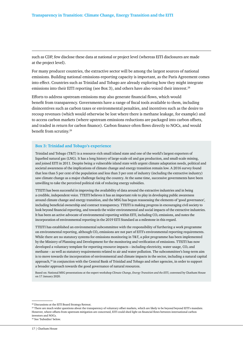such as CDP, few disclose these data at national or project level (whereas EITI disclosures are made at the project level).

For many producer countries, the extractive sector will be among the largest sources of national emissions. Building national emissions-reporting capacity is important, as the Paris Agreement comes into effect. Countries such as Trinidad and Tobago are already exploring how they might integrate emissions into their EITI reporting (see Box 3), and others have also voiced their interest.<sup>28</sup>

Efforts to address upstream emissions may also generate financial flows, which would benefit from transparency. Governments have a range of fiscal tools available to them, including disincentives such as carbon taxes or environmental penalties, and incentives such as the desire to recoup revenues (which would otherwise be lost where there is methane leakage, for example) and to access carbon markets (where upstream emissions reductions are packaged into carbon offsets, and traded in return for carbon finance). Carbon finance often flows directly to NOCs, and would benefit from scrutiny.29

#### **Box 3: Trinidad and Tobago's experience**

Trinidad and Tobago (T&T) is a resource-rich small island state and one of the world's largest exporters of liquefied natural gas (LNG). It has a long history of large-scale oil and gas production, and small-scale mining, and joined EITI in 2011. Despite being a vulnerable island state with urgent climate adaptation needs, political and societal awareness of the implications of climate change and energy transition remain low. A 2016 survey found that less than 5 per cent of the population and less than 3 per cent of industry (including the extractive industry) saw climate change as a major challenge facing the country. At the same time, successive governments have been unwilling to take the perceived political risk of reducing energy subsidies.

TTEITI has been successful in improving the availability of data around the extractive industries and in being a credible, independent voice. TTEITI believes it has an important role to play in developing public awareness around climate change and energy transition, and the MSG has begun reassessing the elements of 'good governance', including beneficial ownership and contract transparency. TTEITI is making progress in encouraging civil society to look beyond financial reporting, and towards the wider environmental and social impacts of the extractive industries. It has been an active advocate of environmental reporting within EITI, including CO<sub>2</sub> emissions, and notes the incorporation of environmental reporting in the 2019 EITI Standard as a milestone in this regard.

TTEITI has established an environmental subcommittee with the responsibility of furthering a work programme on environmental reporting, although CO<sub>2</sub> emissions are not part of EITI's environmental reporting requirements. While there are no statutory systems for emissions monitoring in T&T, a pilot programme has been implemented by the Ministry of Planning and Development for the monitoring and verification of emissions. TTEITI has now developed a voluntary template for reporting resource impacts – including electricity, water usage,  $CO<sub>2</sub>$  and methane – as well as statutory requirements related to air and water pollution. The subcommittee's long-term aim is to move towards the incorporation of environmental and climate impacts in the sector, including a natural capital approach,30 in conjunction with the Central Bank of Trinidad and Tobago and other agencies, in order to support a broader approach towards the good governance of natural resources.

Based on: National MSG presentations at the expert workshop *Climate Change, Energy Transition and the EITI*, convened by Chatham House on 17 January 2020.

<sup>28</sup> Discussions at the EITI Board Strategy Retreat.

<sup>&</sup>lt;sup>29</sup> There are much wider questions about the transparency of voluntary offset markets, which are likely to be beyond beyond EITI's mandate. However, where offsets from upstream mitigation are concerned, EITI could shed light on financial flows between international carbon investors and NOCs. 30 See 'Subsidies' below.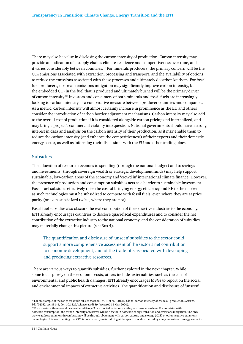There may also be value in disclosing the carbon intensity of production. Carbon intensity may provide an indication of a supply chain's climate-resilience and competitiveness over time, and it varies considerably between countries.<sup>31</sup> For minerals producers, the primary concern will be the  $CO<sub>2</sub>$  emissions associated with extraction, processing and transport, and the availability of options to reduce the emissions associated with these processes and ultimately decarbonize them. For fossil fuel producers, upstream emissions mitigation may significantly improve carbon intensity, but the embedded  $CO<sub>2</sub>$  in the fuel that is produced and ultimately burned will be the primary driver of carbon intensity.32 Investors and consumers of both minerals and fossil fuels are increasingly looking to carbon intensity as a comparative measure between producer countries and companies. As a metric, carbon intensity will almost certainly increase in prominence as the EU and others consider the introduction of carbon border adjustment mechanisms. Carbon intensity may also add to the overall cost of production if it is considered alongside carbon pricing and internalized, and may bring a project's commercial viability into question. National governments should have a strong interest in data and analysis on the carbon intensity of their production, as it may enable them to reduce the carbon intensity (and enhance the competitiveness) of their exports and their domestic energy sector, as well as informing their discussions with the EU and other trading blocs.

#### Subsidies

The allocation of resource revenues to spending (through the national budget) and to savings and investments (through sovereign wealth or strategic development funds) may help support sustainable, low-carbon areas of the economy and 'crowd in' international climate finance. However, the presence of production and consumption subsidies acts as a barrier to sustainable investment. Fossil fuel subsidies effectively raise the cost of bringing energy efficiency and RE to the market, as such technologies must be subsidized to compete with fossil fuels, even where they are at price parity (or even 'subsidized twice', where they are not).

Fossil fuel subsidies also obscure the real contribution of the extractive industries to the economy. EITI already encourages countries to disclose quasi-fiscal expenditures and to consider the net contribution of the extractive industry to the national economy, and the consideration of subsidies may materially change this picture (see Box 4).

The quantification and disclosure of 'unseen' subsidies to the sector could support a more comprehensive assessment of the sector's net contribution to economic development, and of the trade-offs associated with developing and producing extractive resources.

There are various ways to quantify subsidies, further explored in the next chapter. While some focus purely on the economic costs, others include 'externalities' such as the cost of environmental and public health damages. EITI already encourages MSGs to report on the social and environmental impacts of extractive activities. The quantification and disclosure of 'unseen'

<sup>31</sup> For an example of the range for crude oil, see Masnadi, M. S. et al. (2018), 'Global carbon intensity of crude oil production', *Science*, 361(6405), pp. 851–3, doi: [10.1126/science.aar6859](https://www.researchgate.net/deref/http%3A%2F%2Fdx.doi.org%2F10.1126%2Fscience.aar6859) (accessed 11 May 2020).

<sup>&</sup>lt;sup>32</sup> For exporters, these would be considered Scope 3 or exported emissions, as they are burnt elsewhere. For countries with domestic consumption, the carbon intensity of reserves will be a factor in domestic energy transition and emissions mitigation. The only way to address emissions in combustion will be through abatement with carbon capture and storage (CCS) or other negative emissions technologies. It is worth noting that CCS is not currently materializing at the speed or scale expected by many mainstream energy scenarios.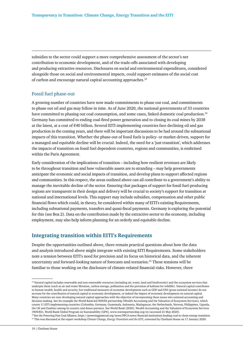subsidies to the sector could support a more comprehensive assessment of the sector's net contribution to economic development, and of the trade-offs associated with developing and producing extractive resources. Disclosures on social and environmental expenditures, considered alongside those on social and environmental impacts, could support estimates of the social cost of carbon and encourage natural capital accounting approaches.<sup>33</sup>

#### Fossil fuel phase-out

A growing number of countries have now made commitments to phase out coal, and commitments to phase out oil and gas may follow in time. As of June 2020, the national governments of 33 countries have committed to phasing out coal consumption, and some cases, linked domestic coal production.<sup>34</sup> Germany has committed to ending coal-fired power generation and to closing its coal mines by 2038 at the latest, at a cost of €40 billion. Several EITI-implementing countries face declining oil and gas production in the coming years, and there will be important discussions to be had around the subnational impacts of this transition. Whether the phase-out of fossil fuels is policy- or market-driven, support for a managed and equitable decline will be crucial. Indeed, the need for a 'just transition', which addresses the impacts of transition on fossil fuel dependent countries, regions and communities, is enshrined within the Paris Agreement.

Early consideration of the implications of transition – including how resilient revenues are likely to be throughout transition and how vulnerable assets are to stranding – may help governments anticipate the economic and social impacts of transition, and develop plans to support affected regions and communities. In this respect, the areas outlined above can all contribute to a government's ability to manage the inevitable decline of the sector. Ensuring that packages of support for fossil fuel-producing regions are transparent in their design and delivery will be crucial to society's support for transition at national and international levels. This support may include subsidies, compensation and other public financial flows which could, in theory, be considered within many of EITI's existing Requirements, including subnational payments, transfers and quasi-fiscal payments. Germany is exploring the potential for this (see Box 2). Data on the contribution made by the extractive sector to the economy, including employment, may also help inform planning for an orderly and equitable decline.

#### **Integrating transition within EITI's Requirements**

Despite the opportunities outlined above, there remain practical questions about how the data and analysis introduced above might integrate with existing EITI Requirements. Some stakeholders note a tension between EITI's need for precision and its focus on historical data, and the inherent uncertainty and forward-looking nature of forecasts and scenarios.35 These tensions will be familiar to those working on the disclosure of climate-related financial risks. However, there

<sup>&</sup>lt;sup>33</sup> Natural capital includes renewable and non-renewable resources (including air, water, land and biodiversity) and the ecosystem services that underpin them (such as air and water filtration, carbon storage, pollination and the provision of habitats for wildlife). Natural capital contributes to human wealth, health and security, but traditional measures of economic development such as GDP and GNI (gross national income) do not account for the contribution of natural capital to economic development, or indeed the impact of economic development on natural capital. Many countries are now developing natural capital approaches with the objective of incorporating these issues into national accounting and decision-making. See for example the World Bank-led WAVES partnership (Wealth Accounting and the Valuation of Ecosystem Services), which counts 11 EITI-implementing countries (Colombia, Germany, Guatemala, Indonesia, Madagascar, the Netherlands, Norway, Philippines, Uganda, the UK and Zambia) among its country and donor partners. See World Bank (2020), Wealth Accounting and the Valuation of Ecosystem Services (WAVES), World Bank Global Program on Sustainability (GPS), [www.wavespartnership.org/en](http://www.wavespartnership.org/en) (accessed 21 May 2020).

<sup>34</sup> See the Powering Past Coal Alliance,<https://poweringpastcoal.org/news/PPCA-news/financial-institutions-leading-coal-to-clean-energy-transition>. 35 This was discussed at the expert workshop *Climate Change, Energy Transition and the EITI*, convened by Chatham House on 17 January 2020.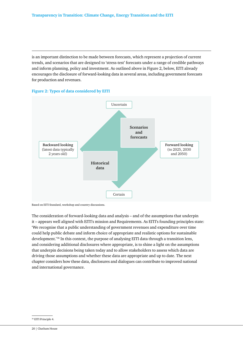is an important distinction to be made between forecasts, which represent a projection of current trends, and scenarios that are designed to 'stress-test' forecasts under a range of credible pathways and inform planning, policy and investment. As outlined above in Figure 2, below, EITI already encourages the disclosure of forward-looking data in several areas, including government forecasts for production and revenues.





Based on EITI Standard, workshop and country discussions.

The consideration of forward-looking data and analysis – and of the assumptions that underpin it – appears well aligned with EITI's mission and Requirements. As EITI's founding principles state: 'We recognise that a public understanding of government revenues and expenditure over time could help public debate and inform choice of appropriate and realistic options for sustainable development.'36 In this context, the purpose of analysing EITI data through a transition lens, and considering additional disclosures where appropriate, is to shine a light on the assumptions that underpin decisions being taken today and to allow stakeholders to assess which data are driving those assumptions and whether these data are appropriate and up to date. The next chapter considers how these data, disclosures and dialogues can contribute to improved national and international governance.

<sup>36</sup> EITI Principle 4.

<sup>20 |</sup> Chatham House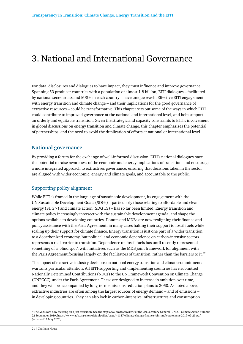### <span id="page-21-0"></span>3. National and International Governance

For data, disclosures and dialogues to have impact, they must influence and improve governance. Spanning 53 producer countries with a population of almost 1.8 billion, EITI dialogues – facilitated by national secretariats and MSGs in each country – have unique reach. Effective EITI engagement with energy transition and climate change – and their implications for the good governance of extractive resources – could be transformative. This chapter sets out some of the ways in which EITI could contribute to improved governance at the national and international level, and help support an orderly and equitable transition. Given the strategic and capacity constraints to EITI's involvement in global discussions on energy transition and climate change, this chapter emphasizes the potential of partnerships, and the need to avoid the duplication of efforts at national or international level.

#### **National governance**

By providing a forum for the exchange of well-informed discussion, EITI's national dialogues have the potential to raise awareness of the economic and energy implications of transition, and encourage a more integrated approach to extractives governance, ensuring that decisions taken in the sector are aligned with wider economic, energy and climate goals, and accountable to the public.

#### Supporting policy alignment

While EITI is framed in the language of sustainable development, its engagement with the UN Sustainable Development Goals (SDGs) – particularly those relating to affordable and clean energy (SDG 7) and climate action (SDG 13) – has so far been limited. Energy transition and climate policy increasingly intersect with the sustainable development agenda, and shape the options available to developing countries. Donors and MDBs are now realigning their finance and policy assistance with the Paris Agreement, in many cases halting their support to fossil fuels while scaling up their support for climate finance. Energy transition is just one part of a wider transition to a decarbonized economy, but political and economic dependence on carbon-intensive sectors represents a real barrier to transition. Dependence on fossil fuels has until recently represented something of a 'blind spot', with initiatives such as the MDB joint framework for alignment with the Paris Agreement focusing largely on the facilitators of transition, rather than the barriers to it.37

The impact of extractive industry decisions on national energy transition and climate commitments warrants particular attention. All EITI-supporting and -implementing countries have submitted Nationally Determined Contributions (NDCs) to the UN Framework Convention on Climate Change (UNFCCC) under the Paris Agreement. These are designed to increase in ambition over time, and they will be accompanied by long-term emissions reduction plans to 2050. As noted above, extractive industries are often among the largest sources of energy demand – and of emissions – in developing countries. They can also lock in carbon-intensive infrastructures and consumption

<sup>37</sup> The MDBs are now focusing on a just transition. See the *High Level MDB Statement* at the UN Secretary-General (UNSG) Climate Action Summit, 22 September 2019, <https://www.adb.org/sites/default/files/page/41117/climate-change-finance-joint-mdb-statement-2019-09-23.pdf> (accessed 11 May 2020).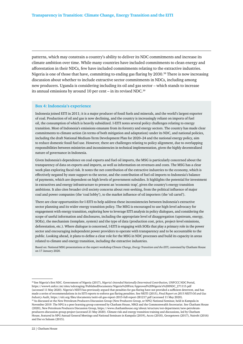patterns, which may constrain a country's ability to deliver its NDC commitments and increase its climate ambition over time. While many countries have included commitments to clean energy and afforestation in their NDCs, few have included commitments relating to the extractive industries. Nigeria is one of those that have, committing to ending gas flaring by 2030.38 There is now increasing discussion about whether to include extractive sector commitments in NDCs, including among new producers. Uganda is considering including its oil and gas sector – which stands to increase its annual emissions by around 10 per cent – in its revised NDC.<sup>39</sup>

#### **Box 4: Indonesia's experience**

Indonesia joined EITI in 2011; it is a major producer of fossil fuels and minerals, and the world's largest exporter of coal. Production of oil and gas is now declining, and the country is increasingly reliant on imports of fuel oil, the consumption of which is heavily subsidized. I-EITI notes several policy challenges relating to energy transition. Most of Indonesia's emissions emanate from its forestry and energy sectors. The country has made clear commitments to climate action (in terms of both mitigation and adaptation) under its NDC, and national policies, including the draft National Medium-Term Development Plan for 2020–24 and the national energy policy, aim to reduce domestic fossil fuel use. However, there are challenges relating to policy alignment, due to overlapping responsibilities between ministries and inconsistencies in technical implementation, given the highly decentralized nature of governance in Indonesia.

Given Indonesia's dependence on coal exports and fuel oil imports, the MSG is particularly concerned about the transparency of data on exports and imports, as well as information on revenues and costs. The MSG has a clear work plan exploring fiscal risk. It notes the net contribution of the extractive industries to the economy, which is effectively negated by state support to the sector, and the contribution of fuel oil imports to Indonesia's balance of payments, which are dependent on high levels of government subsidies. It highlights the potential for investment in extractives and energy infrastructure to present an 'economic trap', given the country's energy transition ambitions. It also cites broader civil society concerns about rent-seeking, from the political influence of major coal and power companies (the 'coal lobby'), to the market influence of oil importers (the 'oil cartel').

There are clear opportunities for I-EITI to help address these inconsistencies between Indonesia's extractive sector planning and its wider energy transition policy. The MSG is encouraged to use high-level advocacy for engagement with energy transition, exploring how to leverage EITI analysis in policy dialogues, and considering the scope of useful information and disclosures, including the appropriate level of disaggregation (upstream, energy, SOEs), the mechanism (template, system) and the type of data (production cost, price, project-level emissions, deforestation, etc.). Where dialogue is concerned, I-EITI is engaging with SOEs that play a primary role in the power sector and encouraging independent power providers to operate with transparency and to be accountable to the public. Looking ahead, it plans to define a clear role for the MSG in NDC processes and build its capacity in areas related to climate and energy transition, including the extractive industries.

Based on: National MSG presentations at the expert workshop *Climate Change, Energy Transition and the EITI*, convened by Chatham House on 17 January 2020.

<sup>&</sup>lt;sup>38</sup> See Nigeria's first NDC. Government of Nigeria (2017), *Nigeria's Intended Nationally Determined Contribution*, UNFCCC NDC Portal, [https://www4.unfccc.int/sites/ndcstaging/PublishedDocuments/Nigeria%20First/Approved%20Nigeria's%20INDC\\_271115.pdf](https://www4.unfccc.int/sites/ndcstaging/PublishedDocuments/Nigeria%20First/Approved%20Nigeria)  (accessed 11 May 2020). Nigeria's NEITI has previously argued that penalties for gas flaring have not provided a sufficient deterrent, and has made a series of recommendations in its EITI reports to enforce gas flaring penalties. See NEITI (2015), *Final Report on 2015 NEITI Oil and Gas Industry Audit*,<https://eiti.org/files/documents/neiti-oil-gas-report-2015-full-report-281217.pdf> (accessed 11 May 2020). <sup>39</sup> As discussed at the New Petroleum Producers Discussion Group (New Producers Group, or NPG) National Seminar, held in Kampala in November 2019. The NPG is a peer learning group convened by Chatham House, NRGI and the Commonwealth Secretariat. See Chatham House (2020), New Petroleum Producers Discussion Group, [https://www.chathamhouse.org/about/structure/eer-department/new-petroleum](https://www.chathamhouse.org/about/structure/eer-department/new-petroleum-producers-discussion-group-project)[producers-discussion-group-project](https://www.chathamhouse.org/about/structure/eer-department/new-petroleum-producers-discussion-group-project) (accessed 21 May 2020). Climate risk and energy transition training and discussions, led by Chatham House, featured in NPG Annual General Meetings and National Seminars in Kampala (2019), Accra (2018), Georgetown (2017), Nairobi (2016) and Dar es Salaam (2015).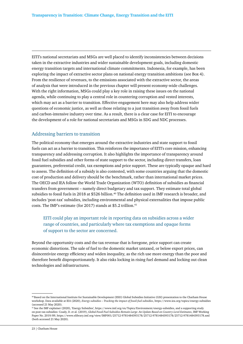EITI's national secretariats and MSGs are well placed to identify inconsistencies between decisions taken in the extractive industries and wider sustainable development goals, including domestic energy transition targets and international climate commitments. Indonesia, for example, has been exploring the impact of extractive sector plans on national energy transition ambitions (see Box 4). From the resilience of revenues, to the emissions associated with the extractive sector, the areas of analysis that were introduced in the previous chapter will present economy-wide challenges. With the right information, MSGs could play a key role in raising these issues on the national agenda, while continuing to play a central role in countering corruption and vested interests, which may act as a barrier to transition. Effective engagement here may also help address wider questions of economic justice, as well as those relating to a just transition away from fossil fuels and carbon-intensive industry over time. As a result, there is a clear case for EITI to encourage the development of a role for national secretariats and MSGs in SDG and NDC processes.

#### Addressing barriers to transition

The political economy that emerges around the extractive industries and state support to fossil fuels can act as a barrier to transition. This reinforces the importance of EITI's core mission, enhancing transparency and addressing corruption. It also highlights the importance of transparency around fossil fuel subsidies and other forms of state support to the sector, including direct transfers, loan guarantees, preferential credit, tax exemptions and price support. These are typically opaque and hard to assess. The definition of a subsidy is also contested, with some countries arguing that the domestic cost of production and delivery should be the benchmark, rather than international market prices. The OECD and IEA follow the World Trade Organization (WTO) definition of subsidies as financial transfers from government – namely direct budgetary and tax support. They estimate total global subsidies to fossil fuels in 2018 at \$526 billion.<sup>40</sup> The definition used in IMF research is broader, and includes 'post-tax' subsidies, including environmental and physical externalities that impose public costs. The IMF's estimate (for 2017) stands at \$5.2 trillion.<sup>41</sup>

#### EITI could play an important role in reporting data on subsidies across a wider range of countries, and particularly where tax exemptions and opaque forms of support to the sector are concerned.

Beyond the opportunity costs and the tax revenue that is foregone, price support can create economic distortions. The sale of fuel to the domestic market untaxed, or below export prices, can disincentivize energy efficiency and widen inequality, as the rich use more energy than the poor and therefore benefit disproportionately. It also risks locking in rising fuel demand and locking out clean technologies and infrastructures.

<sup>40</sup> Based on the International Institute for Sustainable Development (IISD) Global Subsidies Initiative (GSI) presentation to the Chatham House workshop. Data available at IEA (2020), *Energy subsidies – Tracking the impact of fossil-fuel subsidies*, <https://www.iea.org/topics/energy-subsidies> (accessed 21 May 2020).

<sup>41</sup> See the IMF explainer (2020), 'Energy Subsidies', [https://www.imf.org/en/Topics/Environment/energy-subsidies,](https://www.imf.org/en/Topics/Environment/energy-subsidies) and a supporting study on post-tax subsidies: Coady, D. et al. (2019), *Global Fossil Fuel Subsidies Remain Large: An Update Based on Country-Level Estimates*, IMF Working Paper No. 2019/89,<https://www.elibrary.imf.org/view/IMF001/25712-9781484393178/25712-9781484393178/25712-9781484393178.xml> (both accessed 21 May 2020).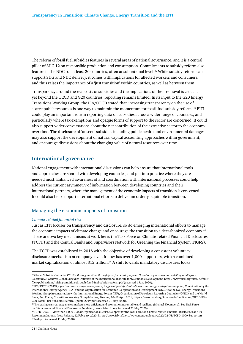The reform of fossil fuel subsidies features in several areas of national governance, and it is a central pillar of SDG 12 on responsible production and consumption. Commitments to subsidy reform also feature in the NDCs of at least 20 countries, often at subnational level.42 While subsidy reform can support SDG and NDC delivery, it comes with implications for affected workers and consumers, and thus raises the importance of a 'just transition' within countries, as well as between them.

Transparency around the real costs of subsidies and the implications of their removal is crucial, yet beyond the OECD and G20 countries, reporting remains limited. In its input to the G20 Energy Transitions Working Group, the IEA/OECD stated that 'increasing transparency on the use of scarce public resources is one way to maintain the momentum for fossil-fuel subsidy reform'.43 EITI could play an important role in reporting data on subsidies across a wider range of countries, and particularly where tax exemptions and opaque forms of support to the sector are concerned. It could also support wider conversations about the net contribution of the extractive sector to the economy over time. The disclosure of 'unseen' subsidies including public health and environmental damages may also support the development of natural capital accounting approaches within government, and encourage discussions about the changing value of natural resources over time.

#### **International governance**

National engagement with international discussions can help ensure that international tools and approaches are shared with developing countries, and put into practice where they are needed most. Enhanced awareness of and coordination with international processes could help address the current asymmetry of information between developing countries and their international partners, where the management of the economic impacts of transition is concerned. It could also help support international efforts to deliver an orderly, equitable transition.

#### Managing the economic impacts of transition

#### *Climate-related financial risk*

Just as EITI focuses on transparency and disclosure, so do emerging international efforts to manage the economic impacts of climate change and encourage the transition to a decarbonized economy.44 There are two key mechanisms at work here: the Task Force on Climate-related Financial Disclosures (TCFD) and the Central Banks and Supervisors Network for Greening the Financial System (NGFS).

The TCFD was established in 2016 with the objective of developing a consistent voluntary disclosure mechanism at company level. It now has over 1,000 supporters, with a combined market capitalization of almost \$12 trillion.45 A shift towards mandatory disclosures looks

<sup>42</sup> Global Subsidies Initiative (2019), *Raising ambition through fossil fuel subsidy reform: Greenhouse gas emissions modelling results from 26 countries.* Geneva: Global Subsidies Initiative of the International Institute for Sustainable Development*,* [https://www.iisd.org/sites/default/](https://www.iisd.org/sites/default/files/publications/raising-ambition-through-fossil-fuel-subsidy-reform.pdf) [files/publications/raising-ambition-through-fossil-fuel-subsidy-reform.pdf](https://www.iisd.org/sites/default/files/publications/raising-ambition-through-fossil-fuel-subsidy-reform.pdf) (accessed 1 Jun. 2020).

<sup>43</sup> IEA/OECD (2019), *Update on recent progress in reform of inefficient fossil-fuel subsidies that encourage wasteful consumption*, Contribution by the International Energy Agency (IEA) and the Organisation for Economic Co-operation and Development (OECD) to the G20 Energy Transitions Working Group in consultation with: International Energy Forum (IEF), Organization of Petroleum Exporting Countries (OPEC) and the World Bank, 2nd Energy Transitions Working Group Meeting, Toyama, 18–19 April 2019, [https://www.oecd.org/fossil-fuels/publication/OECD-IEA-](https://www.oecd.org/fossil-fuels/publication/OECD-IEA-G20-Fossil-Fuel-Subsidies-Reform-Update-2019.pdf)[G20-Fossil-Fuel-Subsidies-Reform-Update-2019.pdf](https://www.oecd.org/fossil-fuels/publication/OECD-IEA-G20-Fossil-Fuel-Subsidies-Reform-Update-2019.pdf) (accessed 21 May 2020).

<sup>44 &#</sup>x27;Increasing transparency makes markets more efficient, and economies more stable and resilient' (Michael Bloomberg). See Task Force on Climate-related Financial Disclosures (undated), [www.fsb-tcfd.org](http://www.fsb-tcfd.org) (accessed 21 May 2020).

<sup>45</sup> TCFD (2020), 'More than 1,000 Global Organizations Declare Support for the Task Force on Climate-related Financial Disclosures and its Recommendations', Press Release, 12 February 2020, [https://www.fsb-tcfd.org/wp-content/uploads/2020/02/PR-TCFD-1000-Supporters\\_](https://www.fsb-tcfd.org/wp-content/uploads/2020/02/PR-TCFD-1000-Supporters_FINAL.pdf) [FINAL.pdf](https://www.fsb-tcfd.org/wp-content/uploads/2020/02/PR-TCFD-1000-Supporters_FINAL.pdf) (accessed 11 May 2020).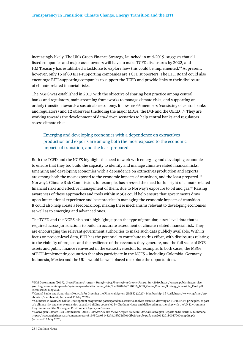increasingly likely. The UK's Green Finance Strategy, launched in mid-2019, suggests that all listed companies and major asset owners will have to make TCFD disclosures by 2022, and HM Treasury has established a taskforce to explore how this could be implemented.<sup>46</sup> At present, however, only 15 of 60 EITI-supporting companies are TCFD supporters. The EITI Board could also encourage EITI-supporting companies to support the TCFD and provide links to their disclosure of climate-related financial risks.

The NGFS was established in 2017 with the objective of sharing best practice among central banks and regulators, mainstreaming frameworks to manage climate risks, and supporting an orderly transition towards a sustainable economy. It now has 65 members (consisting of central banks and regulators) and 12 observers (including the major MDBs, the IMF and the OECD).<sup>47</sup> They are working towards the development of data-driven scenarios to help central banks and regulators assess climate risks.

Emerging and developing economies with a dependence on extractives production and exports are among both the most exposed to the economic impacts of transition, and the least prepared.

Both the TCFD and the NGFS highlight the need to work with emerging and developing economies to ensure that they too build the capacity to identify and manage climate-related financial risks. Emerging and developing economies with a dependence on extractives production and exports are among both the most exposed to the economic impacts of transition, and the least prepared.<sup>48</sup> Norway's Climate Risk Commission, for example, has stressed the need for full sight of climate-related financial risks and effective management of them, due to Norway's exposure to oil and gas.49 Raising awareness of these approaches and tools within MSGs could help ensure that governments draw upon international experience and best practice in managing the economic impacts of transition. It could also help create a feedback loop, making these mechanisms relevant to developing economies as well as to emerging and advanced ones.

The TCFD and the NGFS also both highlight gaps in the type of granular, asset-level data that is required across jurisdictions to build an accurate assessment of climate-related financial risk. They are encouraging the relevant government authorities to make such data publicly available. With its focus on project-level data, EITI has the potential to contribute to this effort, with disclosures relating to the viability of projects and the resilience of the revenues they generate, and the full scale of SOE assets and public finance reinvested in the extractive sector, for example. In both cases, the MSGs of EITI-implementing countries that also participate in the NGFS – including Colombia, Germany, Indonesia, Mexico and the UK – would be well placed to explore the opportunities.

<sup>46</sup> HM Government (2019), *Green Finance Strategy – Transforming Finance for a Greener Future*, July 2019, [https://assets.publishing.service.](https://assets.publishing.service.gov.uk/government/uploads/system/uploads/attachment_data/file/820284/190716_BEIS_Green_Finance_Strategy_Accessible_Final.pdf) [gov.uk/government/uploads/system/uploads/attachment\\_data/file/820284/190716\\_BEIS\\_Green\\_Finance\\_Strategy\\_Accessible\\_Final.pdf](https://assets.publishing.service.gov.uk/government/uploads/system/uploads/attachment_data/file/820284/190716_BEIS_Green_Finance_Strategy_Accessible_Final.pdf)  (accessed 21 May 2020).

<sup>47</sup> Central Banks and Supervisors Network for Greening the Financial System (NGFS) (2020), Membership, 16 April, [https://www.ngfs.net/en/](https://www.ngfs.net/en/about-us/membership) [about-us/membership](https://www.ngfs.net/en/about-us/membership) (accessed 11 May 2020).

<sup>48</sup> Countries in NORAD's Oil for Development programme participated in a scenario analysis exercise, drawing on TCFD/NGFS principles, as part of a climate risk and energy transition capacity-building course led by Chatham House and delivered in partnership with the UN Environment Programme and the Norwegian Environment Agency in Geneva.

<sup>49</sup> Norwegian Climate Risk Commission (2018), *Climate risk and the Norwegian economy*, Official Norwegian Reports NOU 2018: 17 Summary, <https://www.regjeringen.no/contentassets/c5119502a03145278c33b72d9060fbc9/en-gb/pdfs/nou201820180017000engpdfs.pdf> (accessed 11 May 2020).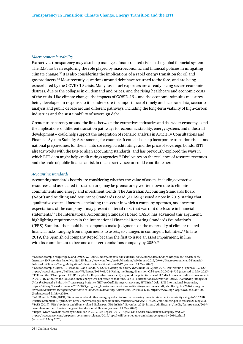#### *Macroeconomic stability*

Extractives transparency may also help manage climate-related risks in the global financial system. The IMF has been exploring the role played by macroeconomic and financial policies in mitigating climate change.<sup>50</sup> It is also considering the implications of a rapid energy transition for oil and gas producers.51 Most recently, questions around debt have returned to the fore, and are being exacerbated by the COVID-19 crisis. Many fossil fuel exporters are already facing severe economic distress, due to the collapse in oil demand and prices, and the rising healthcare and economic costs of the crisis. Like climate change, the impacts of COVID-19 – and the economic stimulus measures being developed in response to it – underscore the importance of timely and accurate data, scenario analysis and public debate around different pathways, including the long-term viability of high-carbon industries and the sustainability of sovereign debt.

Greater transparency around the links between the extractives industries and the wider economy – and the implications of different transition pathways for economic stability, energy systems and industrial development – could help support the integration of scenario analysis in Article IV Consultations and Financial System Stability Assessments, for example. It could also help incorporate transition risks – and national preparedness for them – into sovereign credit ratings and the price of sovereign bonds. EITI already works with the IMF to align accounting standards, and has previously explored the ways in which EITI data might help credit ratings agencies.<sup>52</sup> Disclosures on the resilience of resource revenues and the scale of public finance at risk in the extractive sector could contribute here.

#### *Accounting standards*

Accounting standards boards are considering whether the value of assets, including extractive resources and associated infrastructure, may be prematurely written down due to climate commitments and energy and investment trends. The Australian Accounting Standards Board (AASB) and Auditing and Assurance Standards Board (AUASB) issued a note in 2019 stating that 'qualitative external factors' – including the sector in which a company operates, and investor expectations of the company – may present material risks that warrant disclosure in financial statements.53 The International Accounting Standards Board (IASB) has advanced this argument, highlighting requirements in the International Financial Reporting Standards Foundation's (IFRS) Standard that could help companies make judgments on the materiality of climate-related financial risks, ranging from impairments to assets, to changes in contingent liabilities.54 In late 2019, the Spanish oil company Repsol became the first to issue an asset impairment, in line with its commitment to become a net-zero emissions company by 2050.<sup>55</sup>

<sup>50</sup> See for example Krogstrup, S. and Oman, W. (2019), *Macroeconomic and Financial Policies for Climate Change Mitigation: A Review of the Literature,* IMF Working Paper No. 19/185, [https://www.imf.org/en/Publications/WP/Issues/2019/09/04/Macroeconomic-and-Financial-](https://www.imf.org/en/Publications/WP/Issues/2019/09/04/Macroeconomic-and-Financial-Policies-for-Climate-Change-Mitigation-A-Review-of-the-Literature-48612)[Policies-for-Climate-Change-Mitigation-A-Review-of-the-Literature-48612](https://www.imf.org/en/Publications/WP/Issues/2019/09/04/Macroeconomic-and-Financial-Policies-for-Climate-Change-Mitigation-A-Review-of-the-Literature-48612) (accessed 11 May 2020).

<sup>51</sup> See for example Cherif, R., Hasanov, F. and Pande, A. (2017), *Riding the Energy Transition: Oil Beyond 2040*, IMF Working Paper No. 17/120, <https://www.imf.org/en/Publications/WP/Issues/2017/05/22/Riding-the-Energy-Transition-Oil-Beyond-2040-44932>(accessed 11 May 2020). 52 EITI and the UN-supported PRI (Principles for Responsible Investment) explored the potential role of EITI disclosures in credit risk assessments in 2015–16, although the issue of climate change was not raised at that time. See EITI International Secretariat (2015), *Quantifying Intangibles – Using the Extractive Industries Transparency Initiative (EITI) in Credit Ratings Assessments*, EITI Brief, Oslo: EITI International Secretariat, [https://eiti.org/files/documents/20150825\\_eiti\\_brief\\_how-to-use-the-eiti-in-credit-rating-assessments.pdf;](https://eiti.org/files/documents/20150825_eiti_brief_how-to-use-the-eiti-in-credit-rating-assessments.pdf) also Gordy, A. (2016), *Using the Extractive Industries Transparency Initiative to Enhance Credit Ratings Assessments*, UN PRI & EITI,<https://www.unpri.org/download?ac=202> (both accessed 21 May 2020).

<sup>53</sup> AASB and AUASB (2019), Climate-related and other emerging risks disclosures: assessing financial statement materiality using AASB/IASB Practice Statement 2, April 2019, [https://www.aasb.gov.au/admin/file/content102/c3/AASB\\_AUASBJointBulletin.pdf](https://www.aasb.gov.au/admin/file/content102/c3/AASB_AUASBJointBulletin.pdf) (accessed 21 May 2020). 54 IASB (2019), *IFRS Standards and climate-related disclosures*, IFRS In Brief, November 2019, [https://cdn.ifrs.org/-/media/feature/news/2019/](https://cdn.ifrs.org/-/media/feature/news/2019/november/in-brief-climate-change-nick-anderson.pdf?la=en) [november/in-brief-climate-change-nick-anderson.pdf?la=en](https://cdn.ifrs.org/-/media/feature/news/2019/november/in-brief-climate-change-nick-anderson.pdf?la=en) (accessed 21 May 2020).

<sup>55</sup> Repsol wrote down its assets by €4.8 billion in 2019. See Repsol (2019), *Repsol will be a net zero emissions company by 2050*, <https://www.repsol.com/en/press-room/press-releases/2019/repsol-will-be-a-net-zero-emissions-company-by-2050.cshtml> (accessed 11 May 2020).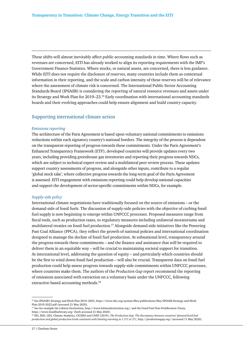These shifts will almost inevitably affect public accounting standards in time. Where flows such as revenues are concerned, EITI has already worked to align its reporting requirements with the IMF's Government Finance Statistics. Where stocks, or natural assets, are concerned, there is less guidance. While EITI does not require the disclosure of reserves, many countries include them as contextual information in their reporting, and the scale and carbon intensity of these reserves will be of relevance where the assessment of climate risk is concerned. The International Public Sector Accounting Standards Board (IPSASB) is considering the reporting of natural resource revenues and assets under its Strategy and Work Plan for 2019–23.56 Early coordination with international accounting standards boards and their evolving approaches could help ensure alignment and build country capacity.

#### Supporting international climate action

#### *Emissions reporting*

The architecture of the Paris Agreement is based upon voluntary national commitments to emissions reductions within each signatory country's national borders. The integrity of the process is dependent on the transparent reporting of progress towards these commitments. Under the Paris Agreement's Enhanced Transparency Framework (ETF), developed countries will provide updates every two years, including providing greenhouse gas inventories and reporting their progress towards NDCs, which are subject to technical expert review and a multilateral peer review process. These updates support country assessments of progress, and alongside other inputs, contribute to a regular 'global stock take', where collective progress towards the long-term goal of the Paris Agreement is assessed. EITI engagement with emissions reporting could help develop national capacities and support the development of sector-specific commitments within NDCs, for example.

#### *Supply-side policy*

International climate negotiations have traditionally focused on the source of emissions – or the demand-side of fossil fuels. The discussion of supply-side policies with the objective of curbing fossil fuel supply is now beginning to emerge within UNFCCC processes. Proposed measures range from fiscal tools, such as production taxes, to regulatory measures including unilateral moratoriums and multilateral treaties on fossil fuel production.57 Alongside demand-side initiatives like the Powering Past Coal Alliance (PPCA), they reflect the growth of national policies and international coordination designed to manage the decline of fossil fuel production. At subnational level, transparency around the progress towards these commitments – and the finance and assistance that will be required to deliver them in an equitable way – will be crucial to maintaining societal support for transition. At international level, addressing the question of equity – and particularly which countries should be the first to wind down fossil fuel production – will also be crucial. Transparent data on fossil fuel production could help assess progress towards supply-side commitments within UNFCCC processes, where countries make them. The authors of the *Production Gap* report recommend the reporting of emissions associated with extraction on a voluntary basis under the UNFCCC, following extractive-based accounting methods.<sup>58</sup>

<sup>56</sup> See IPSASB's Strategy and Work Plan 2019–2023, [https://www.ifac.org/system/files/publications/files/IPSASB-Strategy-and-Work-](https://www.ifac.org/system/files/publications/files/IPSASB-Strategy-and-Work-Plan-2019-2023.pdf)[Plan-2019-2023.pdf](https://www.ifac.org/system/files/publications/files/IPSASB-Strategy-and-Work-Plan-2019-2023.pdf) (accessed 21 May 2020).

<sup>57</sup> See for example the Lofoten Declaration, [http://www.lofotendeclaration.org/;](http://www.lofotendeclaration.org/) and the Fossil Fuel Non-Proliferation Treaty, <https://www.fossilfueltreaty.org/>(both accessed 21 May 2020).

<sup>58</sup> SEI, IISD, ODI, Climate Analytics, CICERO and UNEP (2019), *The Production Gap: The discrepancy between countries' planned fossil fuel production and global production levels consistent with limiting warming to 1.5°C or 2°C*, <http://productiongap.org/> (accessed 11 May 2020).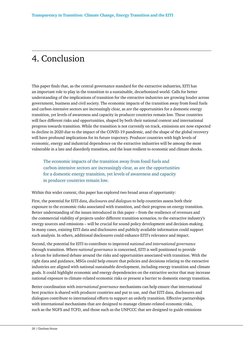### <span id="page-28-0"></span>4. Conclusion

This paper finds that, as the central governance standard for the extractive industries, EITI has an important role to play in the transition to a sustainable, decarbonized world. Calls for better understanding of the implications of transition for the extractive industries are growing louder across government, business and civil society. The economic impacts of the transition away from fossil fuels and carbon-intensive sectors are increasingly clear, as are the opportunities for a domestic energy transition, yet levels of awareness and capacity in producer countries remain low. These countries will face different risks and opportunities, shaped by both their national context and international progress towards transition. While the transition is not currently on track, emissions are now expected to decline in 2020 due to the impact of the COVID-19 pandemic, and the shape of the global recovery will have profound implications for its future trajectory. Producer countries with high levels of economic, energy and industrial dependence on the extractive industries will be among the most vulnerable in a late and disorderly transition, and the least resilient to economic and climate shocks.

The economic impacts of the transition away from fossil fuels and carbon-intensive sectors are increasingly clear, as are the opportunities for a domestic energy transition, yet levels of awareness and capacity in producer countries remain low.

Within this wider context, this paper has explored two broad areas of opportunity:

First, the potential for EITI *data, disclosures and dialogues* to help countries assess both their exposure to the economic risks associated with transition, and their progress on energy transition. Better understanding of the issues introduced in this paper – from the resilience of revenues and the commercial viability of projects under different transition scenarios, to the extractive industry's energy sources and emissions – will be crucial for sound policy development and decision-making. In many cases, existing EITI data and disclosures and publicly available information could support such analysis. In others, additional disclosures could enhance EITI's relevance and impact.

Second, the potential for EITI to contribute to improved *national and international governance*  through transition. Where *national governance* is concerned, EITI is well positioned to provide a forum for informed debate around the risks and opportunities associated with transition. With the right data and guidance, MSGs could help ensure that policies and decisions relating to the extractive industries are aligned with national sustainable development, including energy transition and climate goals. It could highlight economic and energy dependencies on the extractive sector that may increase national exposure to climate-related economic risks or present a barrier to domestic energy transition.

Better coordination with *international governance* mechanisms can help ensure that international best practice is shared with producer countries and put to use, and that EITI data, disclosures and dialogues contribute to international efforts to support an orderly transition. Effective partnerships with international mechanisms that are designed to manage climate-related economic risks, such as the NGFS and TCFD, and those such as the UNFCCC that are designed to guide emissions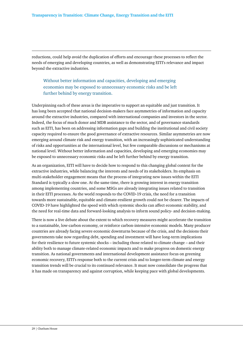reductions, could help avoid the duplication of efforts and encourage these processes to reflect the needs of emerging and developing countries, as well as demonstrating EITI's relevance and impact beyond the extractive industries.

Without better information and capacities, developing and emerging economies may be exposed to unnecessary economic risks and be left further behind by energy transition.

Underpinning each of these areas is the imperative to support an equitable and just transition. It has long been accepted that national decision-makers face asymmetries of information and capacity around the extractive industries, compared with international companies and investors in the sector. Indeed, the focus of much donor and MDB assistance to the sector, and of governance standards such as EITI, has been on addressing information gaps and building the institutional and civil society capacity required to ensure the good governance of extractive resources. Similar asymmetries are now emerging around climate risk and energy transition, with an increasingly sophisticated understanding of risks and opportunities at the international level, but few comparable discussions or mechanisms at national level. Without better information and capacities, developing and emerging economies may be exposed to unnecessary economic risks and be left further behind by energy transition.

As an organization, EITI will have to decide how to respond to this changing global context for the extractive industries, while balancing the interests and needs of its stakeholders. Its emphasis on multi-stakeholder engagement means that the process of integrating new issues within the EITI Standard is typically a slow one. At the same time, there is growing interest in energy transition among implementing countries, and some MSGs are already integrating issues related to transition in their EITI processes. As the world responds to the COVID-19 crisis, the need for a transition towards more sustainable, equitable and climate-resilient growth could not be clearer. The impacts of COVID-19 have highlighted the speed with which systemic shocks can affect economic stability, and the need for real-time data and forward-looking analysis to inform sound policy- and decision-making.

There is now a live debate about the extent to which recovery measures might accelerate the transition to a sustainable, low-carbon economy, or reinforce carbon-intensive economic models. Many producer countries are already facing severe economic downturns because of the crisis, and the decisions their governments take now regarding debt, spending and investment will have long-term implications for their resilience to future systemic shocks – including those related to climate change – and their ability both to manage climate-related economic impacts and to make progress on domestic energy transition. As national governments and international development assistance focus on greening economic recovery, EITI's response both to the current crisis and to longer-term climate and energy transition trends will be crucial to its continued relevance. It must now consolidate the progress that it has made on transparency and against corruption, while keeping pace with global developments.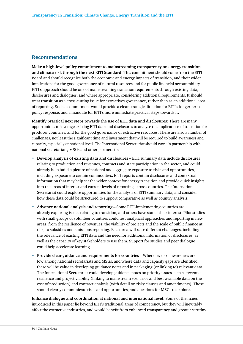#### **Recommendations**

**Make a high-level policy commitment to mainstreaming transparency on energy transition and climate risk through the next EITI Standard:** This commitment should come from the EITI Board and should recognize both the economic and energy impacts of transition, and their wider implications for the good governance of natural resources and for public financial accountability. EITI's approach should be one of mainstreaming transition requirements through existing data, disclosures and dialogues, and where appropriate, considering additional requirements. It should treat transition as a cross-cutting issue for extractives governance, rather than as an additional area of reporting. Such a commitment would provide a clear strategic direction for EITI's longer-term policy response, and a mandate for EITI's more immediate practical steps towards it.

**Identify practical next steps towards the use of EITI data and disclosures:** There are many opportunities to leverage existing EITI data and disclosures to analyse the implications of transition for producer countries, and for the good governance of extractive resources. There are also a number of challenges, not least the significant time and investment that will be required to build awareness and capacity, especially at national level. The International Secretariat should work in partnership with national secretariats, MSGs and other partners to:

- **Develop analysis of existing data and disclosures –** EITI summary data include disclosures relating to production and revenues, contracts and state participation in the sector, and could already help build a picture of national and aggregate exposure to risks and opportunities, including exposure to certain commodities. EITI reports contain disclosures and contextual information that may help set the wider context for energy transition and provide quick insights into the areas of interest and current levels of reporting across countries. The International Secretariat could explore opportunities for the analysis of EITI summary data, and consider how these data could be structured to support comparative as well as country analysis.
- **Advance national analysis and reporting –** Some EITI-implementing countries are already exploring issues relating to transition, and others have stated their interest. Pilot studies with small groups of volunteer countries could test analytical approaches and reporting in new areas, from the resilience of revenues, the viability of projects and the scale of public finance at risk, to subsidies and emissions reporting. Each area will raise different challenges, including the relevance of existing EITI data and the need for additional information or disclosures, as well as the capacity of key stakeholders to use them. Support for studies and peer dialogue could help accelerate learning.
- **Provide clear guidance and requirements for countries** Where levels of awareness are low among national secretariats and MSGs, and where data and capacity gaps are identified, there will be value in developing guidance notes and in packaging (or linking to) relevant data. The International Secretariat could develop guidance notes on priority issues such as revenue resilience and project viability (linking to mainstream scenarios and best-available data on the cost of production) and contract analysis (with detail on risky clauses and amendments). These should clearly communicate risks and opportunities, and questions for MSGs to explore.

**Enhance dialogue and coordination at national and international level:** Some of the issues introduced in this paper lie beyond EITI's traditional areas of competency, but they will inevitably affect the extractive industries, and would benefit from enhanced transparency and greater scrutiny.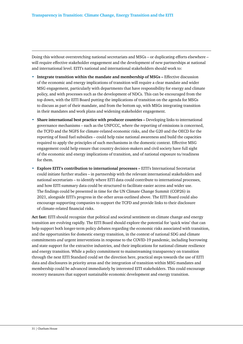Doing this without overstretching national secretariats and MSGs – or duplicating efforts elsewhere – will require effective stakeholder engagement and the development of new partnerships at national and international level. EITI's national and international stakeholders should work to:

- **Integrate transition within the mandate and membership of MSGs** Effective discussion of the economic and energy implications of transition will require a clear mandate and wider MSG engagement, particularly with departments that have responsibility for energy and climate policy, and with processes such as the development of NDCs. This can be encouraged from the top down, with the EITI Board putting the implications of transition on the agenda for MSGs to discuss as part of their mandate, and from the bottom up, with MSGs integrating transition in their mandates and work plans and widening stakeholder engagement.
- **Share international best practice with producer countries –** Developing links to international governance mechanisms – such as the UNFCCC, where the reporting of emissions is concerned, the TCFD and the NGFS for climate-related economic risks, and the G20 and the OECD for the reporting of fossil fuel subsidies – could help raise national awareness and build the capacities required to apply the principles of such mechanisms in the domestic context. Effective MSG engagement could help ensure that country decision-makers and civil society have full sight of the economic and energy implications of transition, and of national exposure to/readiness for them.
- **Explore EITI's contribution to international processes** EITI's International Secretariat could initiate further studies – in partnership with the relevant international stakeholders and national secretariats – to identify where EITI data could contribute to international processes, and how EITI summary data could be structured to facilitate easier access and wider use. The findings could be presented in time for the UN Climate Change Summit (COP26) in 2021, alongside EITI's progress in the other areas outlined above. The EITI Board could also encourage supporting companies to support the TCFD and provide links to their disclosure of climate-related financial risks.

**Act fast:** EITI should recognize that political and societal sentiment on climate change and energy transition are evolving rapidly. The EITI Board should explore the potential for 'quick wins' that can help support both longer-term policy debates regarding the economic risks associated with transition, and the opportunities for domestic energy transition, in the context of national SDG and climate commitments *and* urgent interventions in response to the COVID-19 pandemic, including borrowing and state support for the extractive industries, and their implications for national climate resilience and energy transition. While a policy commitment to mainstreaming transparency on transition through the next EITI Standard could set the direction here, practical steps towards the use of EITI data and disclosures in priority areas and the integration of transition within MSG mandates and membership could be advanced immediately by interested EITI stakeholders. This could encourage recovery measures that support sustainable economic development and energy transition.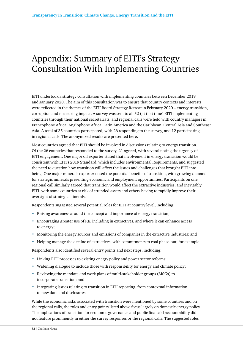### <span id="page-32-0"></span>Appendix: Summary of EITI's Strategy Consultation With Implementing Countries

EITI undertook a strategy consultation with implementing countries between December 2019 and January 2020. The aim of this consultation was to ensure that country contexts and interests were reflected in the themes of the EITI Board Strategy Retreat in February 2020 – energy transition, corruption and measuring impact. A survey was sent to all 52 (at that time) EITI-implementing countries through their national secretariats, and regional calls were held with country managers in Francophone Africa, Anglophone Africa, Latin America and the Caribbean, Central Asia and Southeast Asia. A total of 35 countries participated, with 26 responding to the survey, and 12 participating in regional calls. The anonymized results are presented here.

Most countries agreed that EITI should be involved in discussions relating to energy transition. Of the 26 countries that responded to the survey, 21 agreed, with several noting the urgency of EITI engagement. One major oil exporter stated that involvement in energy transition would be consistent with EITI's 2019 Standard, which includes environmental Requirements, and suggested the need to question how transition will affect the issues and challenges that brought EITI into being. One major minerals exporter noted the potential benefits of transition, with growing demand for strategic minerals presenting economic and employment opportunities. Participants on one regional call similarly agreed that transition would affect the extractive industries, and inevitably EITI, with some countries at risk of stranded assets and others having to rapidly improve their oversight of strategic minerals.

Respondents suggested several potential roles for EITI at country level, including:

- Raising awareness around the concept and importance of energy transition;
- Encouraging greater use of RE, including in extractives, and where it can enhance access to energy;
- Monitoring the energy sources and emissions of companies in the extractive industries; and
- Helping manage the decline of extractives, with commitments to coal phase-out, for example.

Respondents also identified several entry points and next steps, including:

- Linking EITI processes to existing energy policy and power sector reforms;
- Widening dialogue to include those with responsibility for energy and climate policy;
- Reviewing the mandate and work plans of multi-stakeholder groups (MSGs) to incorporate transition; and
- Integrating issues relating to transition in EITI reporting, from contextual information to new data and disclosures.

While the economic risks associated with transition were mentioned by some countries and on the regional calls, the roles and entry points listed above focus largely on domestic energy policy. The implications of transition for economic governance and public financial accountability did not feature prominently in either the survey responses or the regional calls. The suggested roles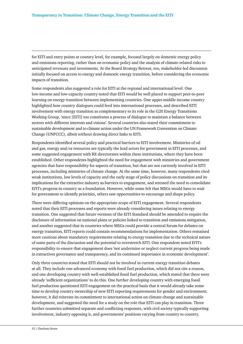for EITI and entry points at country level, for example, focused largely on domestic energy policy and emissions reporting, rather than on economic policy and the analysis of climate-related risks to anticipated revenues and investments. At the Board Strategy Retreat, too, stakeholder-led discussion initially focused on access to energy and domestic energy transition, before considering the economic impacts of transition.

Some respondents also suggested a role for EITI at the regional and international level. One low-income and low-capacity country noted that EITI would be well placed to support peer-to-peer learning on energy transition between implementing countries. One upper-middle-income country highlighted how country dialogues could feed into international processes, and described EITI involvement with energy transition as complementary to its role in the G20 Energy Transitions Working Group, 'since [EITI] too constitutes a process of dialogue to maintain a balance between sectors with different interests and visions'. Several countries also stated their commitment to sustainable development and to climate action under the UN Framework Convention on Climate Change (UNFCCC), albeit without drawing direct links to EITI.

Respondents identified several policy and practical barriers to EITI involvement. Ministries of oil and gas, energy and/or resources are typically the lead actors for government in EITI processes, and some suggested engagement with RE directorates within these institutions, where they have been established. Other respondents highlighted the need for engagement with ministries and government agencies that have responsibility for aspects of transition, but that are not currently involved in EITI processes, including ministries of climate change. At the same time, however, many respondents cited weak institutions, low levels of capacity and the early stage of policy discussions on transition and its implications for the extractive industry as barriers to engagement, and stressed the need to consolidate EITI's progress in-country as a foundation. However, while some felt that MSGs would have to wait for government to identify priorities, others saw opportunities to encourage and shape policy.

There were differing opinions on the appropriate scope of EITI engagement. Several respondents noted that their EITI processes and reports were already considering issues relating to energy transition. One suggested that future versions of the EITI Standard should be amended to require the disclosure of information on national plans or policies linked to transition and emissions mitigation, and another suggested that in countries where MSGs could provide a central forum for debates on energy transition, EITI reports could contain recommendations for implementation. Others remained more cautious about mandatory requirements relating to energy transition due to the technical nature of some parts of the discussion and the potential to overstretch EITI. One respondent noted EITI's responsibility to ensure that engagement does 'not undermine or neglect current progress being made in extractives governance and transparency, and its continued importance in economic development'.

Only three countries stated that EITI should not be involved in current energy transition debates at all. They include one advanced economy with fossil fuel production, which did not cite a reason, and one developing country with well-established fossil fuel production, which stated that there were already 'sufficient organizations' to do this. One further developing country with emerging fossil fuel production questioned EITI engagement on the practical basis that it would already take some time to develop country ownership of new EITI reporting requirements for gender and environment; however, it did reiterate its commitment to international action on climate change and sustainable development, and suggested the need for a study on the role that EITI can play in transition. Three further countries submitted separate and conflicting responses, with civil society typically supporting involvement, industry opposing it, and governments' positions varying from country to country.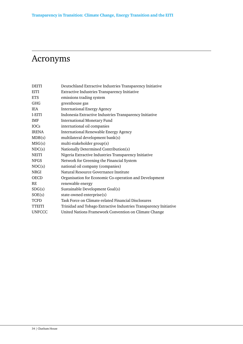### <span id="page-34-0"></span>Acronyms

| <b>DEITI</b>  | Deutschland Extractive Industries Transparency Initiative         |
|---------------|-------------------------------------------------------------------|
| <b>EITI</b>   | Extractive Industries Transparency Initiative                     |
| <b>ETS</b>    | emissions trading system                                          |
| <b>GHG</b>    | greenhouse gas                                                    |
| IEA           | <b>International Energy Agency</b>                                |
| I-EITI        | Indonesia Extractive Industries Transparency Initiative           |
| IMF           | <b>International Monetary Fund</b>                                |
| <b>IOCs</b>   | international oil companies                                       |
| <b>IRENA</b>  | <b>International Renewable Energy Agency</b>                      |
| MDB(s)        | multilateral development bank(s)                                  |
| MSG(s)        | multi-stakeholder group(s)                                        |
| NDC(s)        | Nationally Determined Contribution(s)                             |
| <b>NEITI</b>  | Nigeria Extractive Industries Transparency Initiative             |
| <b>NFGS</b>   | Network for Greening the Financial System                         |
| NOC(s)        | national oil company (companies)                                  |
| <b>NRGI</b>   | Natural Resource Governance Institute                             |
| <b>OECD</b>   | Organisation for Economic Co-operation and Development            |
| <b>RE</b>     | renewable energy                                                  |
| SDG(s)        | Sustainable Development Goal(s)                                   |
| SOE(s)        | state-owned enterprise(s)                                         |
| <b>TCFD</b>   | Task Force on Climate-related Financial Disclosures               |
| <b>TTEITI</b> | Trinidad and Tobago Extractive Industries Transparency Initiative |
| <b>UNFCCC</b> | United Nations Framework Convention on Climate Change             |
|               |                                                                   |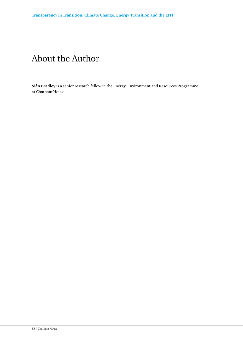# <span id="page-35-0"></span>About the Author

**Siân Bradley** is a senior research fellow in the Energy, Environment and Resources Programme at Chatham House.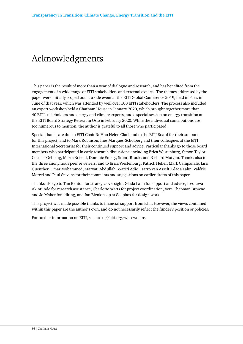# <span id="page-36-0"></span>Acknowledgments

This paper is the result of more than a year of dialogue and research, and has benefited from the engagement of a wide range of EITI stakeholders and external experts. The themes addressed by the paper were initially scoped out at a side event at the EITI Global Conference 2019, held in Paris in June of that year, which was attended by well over 100 EITI stakeholders. The process also included an expert workshop held a Chatham House in January 2020, which brought together more than 40 EITI stakeholders and energy and climate experts, and a special session on energy transition at the EITI Board Strategy Retreat in Oslo in February 2020. While the individual contributions are too numerous to mention, the author is grateful to all those who participated.

Special thanks are due to EITI Chair Rt Hon Helen Clark and to the EITI Board for their support for this project, and to Mark Robinson, Ines Marques-Scholberg and their colleagues at the EITI International Secretariat for their continued support and advice. Particular thanks go to those board members who participated in early research discussions, including Erica Westenburg, Simon Taylor, Cosmas Ochieng, Marte Briseid, Dominic Emery, Stuart Brooks and Richard Morgan. Thanks also to the three anonymous peer reviewers, and to Erica Westenburg, Patrick Heller, Mark Campanale, Lisa Guenther, Omar Mohammed, Maryati Abdullah, Waziri Adio, Harro van Asselt, Glada Lahn, Valérie Marcel and Paul Stevens for their comments and suggestions on earlier drafts of this paper.

Thanks also go to Tim Benton for strategic oversight, Glada Lahn for support and advice, Iseoluwa Akintunde for research assistance, Charlotte Watts for project coordination, Vera Chapman Browne and Jo Maher for editing, and Ian Blenkinsop at Soapbox for design work.

This project was made possible thanks to financial support from EITI. However, the views contained within this paper are the author's own, and do not necessarily reflect the funder's position or policies.

For further information on EITI, see [https://eiti.org/who-we-are.](https://eiti.org/who-we-are)